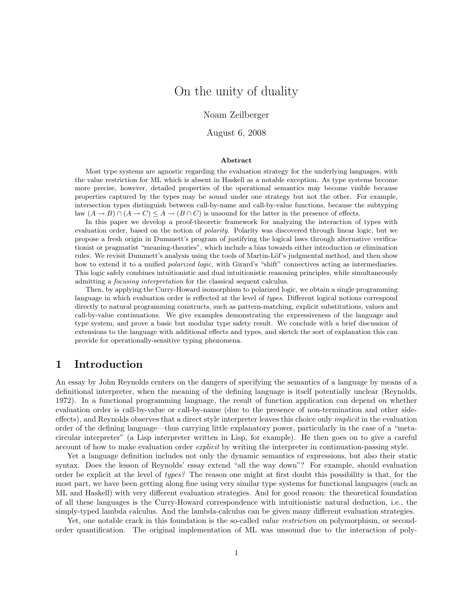# On the unity of duality

Noam Zeilberger

August 6, 2008

#### Abstract

Most type systems are agnostic regarding the evaluation strategy for the underlying languages, with the value restriction for ML which is absent in Haskell as a notable exception. As type systems become more precise, however, detailed properties of the operational semantics may become visible because properties captured by the types may be sound under one strategy but not the other. For example, intersection types distinguish between call-by-name and call-by-value functions, because the subtyping law  $(A \to B) \cap (A \to C) \leq A \to (B \cap C)$  is unsound for the latter in the presence of effects.

In this paper we develop a proof-theoretic framework for analyzing the interaction of types with evaluation order, based on the notion of *polarity*. Polarity was discovered through linear logic, but we propose a fresh origin in Dummett's program of justifying the logical laws through alternative verificationist or pragmatist "meaning-theories", which include a bias towards either introduction or elimination rules. We revisit Dummett's analysis using the tools of Martin-Löf's judgmental method, and then show how to extend it to a unified *polarized logic*, with Girard's "shift" connectives acting as intermediaries. This logic safely combines intuitionistic and dual intuitionistic reasoning principles, while simultaneously admitting a focusing interpretation for the classical sequent calculus.

Then, by applying the Curry-Howard isomorphism to polarized logic, we obtain a single programming language in which evaluation order is reflected at the level of types. Different logical notions correspond directly to natural programming constructs, such as pattern-matching, explicit substitutions, values and call-by-value continuations. We give examples demonstrating the expressiveness of the language and type system, and prove a basic but modular type safety result. We conclude with a brief discussion of extensions to the language with additional effects and types, and sketch the sort of explanation this can provide for operationally-sensitive typing phenomena.

# 1 Introduction

An essay by John Reynolds centers on the dangers of specifying the semantics of a language by means of a definitional interpreter, when the meaning of the defining language is itself potentially unclear (Reynolds, 1972). In a functional programming language, the result of function application can depend on whether evaluation order is call-by-value or call-by-name (due to the presence of non-termination and other sideeffects), and Reynolds observes that a direct style interpreter leaves this choice only implicit in the evaluation order of the defining language—thus carrying little explanatory power, particularly in the case of a "metacircular interpreter" (a Lisp interpreter written in Lisp, for example). He then goes on to give a careful account of how to make evaluation order *explicit* by writing the interpreter in continuation-passing style.

Yet a language definition includes not only the dynamic semantics of expressions, but also their static syntax. Does the lesson of Reynolds' essay extend "all the way down"? For example, should evaluation order be explicit at the level of types? The reason one might at first doubt this possibility is that, for the most part, we have been getting along fine using very similar type systems for functional languages (such as ML and Haskell) with very different evaluation strategies. And for good reason: the theoretical foundation of all these languages is the Curry-Howard correspondence with intuitionistic natural deduction, i.e., the simply-typed lambda calculus. And the lambda-calculus can be given many different evaluation strategies.

Yet, one notable crack in this foundation is the so-called *value restriction* on polymorphism, or secondorder quantification. The original implementation of ML was unsound due to the interaction of poly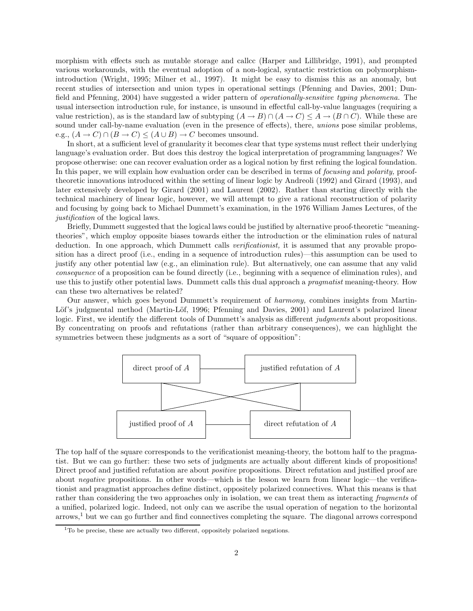morphism with effects such as mutable storage and callcc (Harper and Lillibridge, 1991), and prompted various workarounds, with the eventual adoption of a non-logical, syntactic restriction on polymorphismintroduction (Wright, 1995; Milner et al., 1997). It might be easy to dismiss this as an anomaly, but recent studies of intersection and union types in operational settings (Pfenning and Davies, 2001; Dunfield and Pfenning, 2004) have suggested a wider pattern of operationally-sensitive typing phenomena. The usual intersection introduction rule, for instance, is unsound in effectful call-by-value languages (requiring a value restriction), as is the standard law of subtyping  $(A \to B) \cap (A \to C) \leq A \to (B \cap C)$ . While these are sound under call-by-name evaluation (even in the presence of effects), there, *unions* pose similar problems, e.g.,  $(A \to C) \cap (B \to C) \leq (A \cup B) \to C$  becomes unsound.

In short, at a sufficient level of granularity it becomes clear that type systems must reflect their underlying language's evaluation order. But does this destroy the logical interpretation of programming languages? We propose otherwise: one can recover evaluation order as a logical notion by first refining the logical foundation. In this paper, we will explain how evaluation order can be described in terms of *focusing* and *polarity*, prooftheoretic innovations introduced within the setting of linear logic by Andreoli (1992) and Girard (1993), and later extensively developed by Girard (2001) and Laurent (2002). Rather than starting directly with the technical machinery of linear logic, however, we will attempt to give a rational reconstruction of polarity and focusing by going back to Michael Dummett's examination, in the 1976 William James Lectures, of the justification of the logical laws.

Briefly, Dummett suggested that the logical laws could be justified by alternative proof-theoretic "meaningtheories", which employ opposite biases towards either the introduction or the elimination rules of natural deduction. In one approach, which Dummett calls *verificationist*, it is assumed that any provable proposition has a direct proof (i.e., ending in a sequence of introduction rules)—this assumption can be used to justify any other potential law (e.g., an elimination rule). But alternatively, one can assume that any valid consequence of a proposition can be found directly (i.e., beginning with a sequence of elimination rules), and use this to justify other potential laws. Dummett calls this dual approach a *pragmatist* meaning-theory. How can these two alternatives be related?

Our answer, which goes beyond Dummett's requirement of harmony, combines insights from Martin-Löf's judgmental method (Martin-Löf, 1996; Pfenning and Davies, 2001) and Laurent's polarized linear logic. First, we identify the different tools of Dummett's analysis as different *judgments* about propositions. By concentrating on proofs and refutations (rather than arbitrary consequences), we can highlight the symmetries between these judgments as a sort of "square of opposition":



The top half of the square corresponds to the verificationist meaning-theory, the bottom half to the pragmatist. But we can go further: these two sets of judgments are actually about different kinds of propositions! Direct proof and justified refutation are about *positive* propositions. Direct refutation and justified proof are about negative propositions. In other words—which is the lesson we learn from linear logic—the verificationist and pragmatist approaches define distinct, oppositely polarized connectives. What this means is that rather than considering the two approaches only in isolation, we can treat them as interacting fragments of a unified, polarized logic. Indeed, not only can we ascribe the usual operation of negation to the horizontal  $arrows$ ,<sup>1</sup> but we can go further and find connectives completing the square. The diagonal arrows correspond

<sup>&</sup>lt;sup>1</sup>To be precise, these are actually two different, oppositely polarized negations.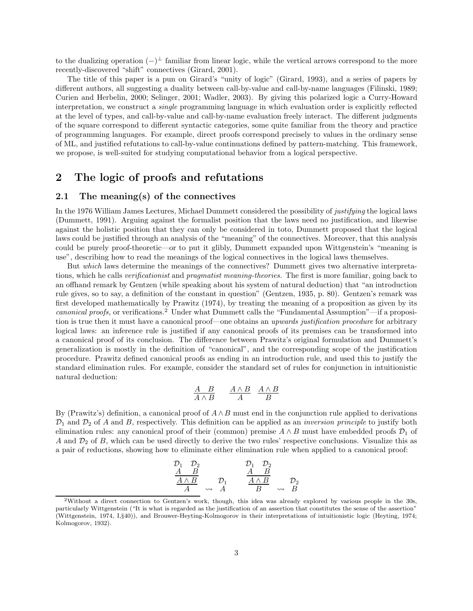to the dualizing operation  $(-)^{\perp}$  familiar from linear logic, while the vertical arrows correspond to the more recently-discovered "shift" connectives (Girard, 2001).

The title of this paper is a pun on Girard's "unity of logic" (Girard, 1993), and a series of papers by different authors, all suggesting a duality between call-by-value and call-by-name languages (Filinski, 1989; Curien and Herbelin, 2000; Selinger, 2001; Wadler, 2003). By giving this polarized logic a Curry-Howard interpretation, we construct a single programming language in which evaluation order is explicitly reflected at the level of types, and call-by-value and call-by-name evaluation freely interact. The different judgments of the square correspond to different syntactic categories, some quite familiar from the theory and practice of programming languages. For example, direct proofs correspond precisely to values in the ordinary sense of ML, and justified refutations to call-by-value continuations defined by pattern-matching. This framework, we propose, is well-suited for studying computational behavior from a logical perspective.

# 2 The logic of proofs and refutations

### 2.1 The meaning(s) of the connectives

In the 1976 William James Lectures, Michael Dummett considered the possibility of justifying the logical laws (Dummett, 1991). Arguing against the formalist position that the laws need no justification, and likewise against the holistic position that they can only be considered in toto, Dummett proposed that the logical laws could be justified through an analysis of the "meaning" of the connectives. Moreover, that this analysis could be purely proof-theoretic—or to put it glibly, Dummett expanded upon Wittgenstein's "meaning is use", describing how to read the meanings of the logical connectives in the logical laws themselves.

But which laws determine the meanings of the connectives? Dummett gives two alternative interpretations, which he calls verificationist and pragmatist meaning-theories. The first is more familiar, going back to an offhand remark by Gentzen (while speaking about his system of natural deduction) that "an introduction rule gives, so to say, a definition of the constant in question" (Gentzen, 1935, p. 80). Gentzen's remark was first developed mathematically by Prawitz (1974), by treating the meaning of a proposition as given by its canonical proofs, or verifications.<sup>2</sup> Under what Dummett calls the "Fundamental Assumption"—if a proposition is true then it must have a canonical proof—one obtains an upwards justification procedure for arbitrary logical laws: an inference rule is justified if any canonical proofs of its premises can be transformed into a canonical proof of its conclusion. The difference between Prawitz's original formulation and Dummett's generalization is mostly in the definition of "canonical", and the corresponding scope of the justification procedure. Prawitz defined canonical proofs as ending in an introduction rule, and used this to justify the standard elimination rules. For example, consider the standard set of rules for conjunction in intuitionistic natural deduction:

$$
\begin{array}{ccccc}\nA & B & A \wedge B & A \wedge B \\
\hline\nA \wedge B & & A & B\n\end{array}
$$

By (Prawitz's) definition, a canonical proof of  $A \wedge B$  must end in the conjunction rule applied to derivations  $\mathcal{D}_1$  and  $\mathcal{D}_2$  of A and B, respectively. This definition can be applied as an *inversion principle* to justify both elimination rules: any canonical proof of their (common) premise  $A \wedge B$  must have embedded proofs  $\mathcal{D}_1$  of A and  $\mathcal{D}_2$  of B, which can be used directly to derive the two rules' respective conclusions. Visualize this as a pair of reductions, showing how to eliminate either elimination rule when applied to a canonical proof:

$$
\begin{array}{ccc}\n\mathcal{D}_1 & \mathcal{D}_2 \\
\underline{A} & \underline{B} \\
\underline{A \wedge B} & \mathcal{D}_1 \\
\underline{A} & \leadsto & \underline{A} \\
\end{array}\n\qquad\n\begin{array}{ccc}\n\mathcal{D}_1 & \mathcal{D}_2 \\
\underline{A} & \underline{B} \\
\underline{A \wedge B} & \mathcal{D}_2 \\
\underline{B} & \leadsto & \underline{B}\n\end{array}
$$

<sup>2</sup>Without a direct connection to Gentzen's work, though, this idea was already explored by various people in the 30s, particularly Wittgenstein ("It is what is regarded as the justification of an assertion that constitutes the sense of the assertion" (Wittgenstein, 1974, I,§40)), and Brouwer-Heyting-Kolmogorov in their interpretations of intuitionistic logic (Heyting, 1974; Kolmogorov, 1932).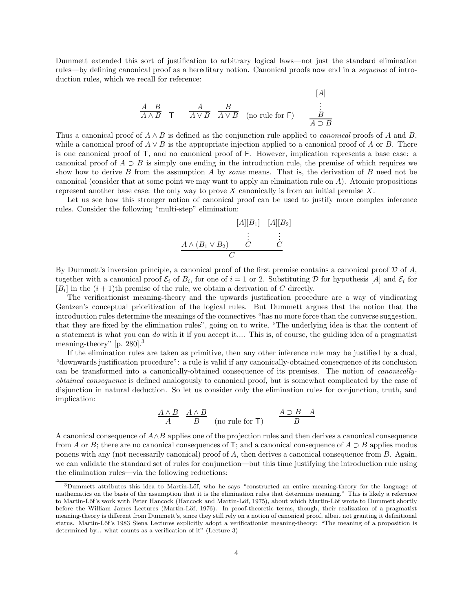Dummett extended this sort of justification to arbitrary logical laws—not just the standard elimination rules—by defining canonical proof as a hereditary notion. Canonical proofs now end in a sequence of introduction rules, which we recall for reference:

A B A ∧ B T A A ∨ B B A ∨ B (no rule for F) [A] . . . B A ⊃ B

Thus a canonical proof of  $A \wedge B$  is defined as the conjunction rule applied to *canonical* proofs of A and B, while a canonical proof of  $A \vee B$  is the appropriate injection applied to a canonical proof of A or B. There is one canonical proof of T, and no canonical proof of F. However, implication represents a base case: a canonical proof of  $A \supset B$  is simply one ending in the introduction rule, the premise of which requires we show how to derive B from the assumption A by *some* means. That is, the derivation of B need not be canonical (consider that at some point we may want to apply an elimination rule on A). Atomic propositions represent another base case: the only way to prove  $X$  canonically is from an initial premise  $X$ .

Let us see how this stronger notion of canonical proof can be used to justify more complex inference rules. Consider the following "multi-step" elimination:



By Dummett's inversion principle, a canonical proof of the first premise contains a canonical proof  $D$  of  $A$ , together with a canonical proof  $\mathcal{E}_i$  of  $B_i$ , for one of  $i = 1$  or 2. Substituting D for hypothesis [A] and  $\mathcal{E}_i$  for  $[B_i]$  in the  $(i + 1)$ th premise of the rule, we obtain a derivation of C directly.

The verificationist meaning-theory and the upwards justification procedure are a way of vindicating Gentzen's conceptual prioritization of the logical rules. But Dummett argues that the notion that the introduction rules determine the meanings of the connectives "has no more force than the converse suggestion, that they are fixed by the elimination rules", going on to write, "The underlying idea is that the content of a statement is what you can do with it if you accept it.... This is, of course, the guiding idea of a pragmatist meaning-theory" [p. 280].<sup>3</sup>

If the elimination rules are taken as primitive, then any other inference rule may be justified by a dual, "downwards justification procedure": a rule is valid if any canonically-obtained consequence of its conclusion can be transformed into a canonically-obtained consequence of its premises. The notion of canonicallyobtained consequence is defined analogously to canonical proof, but is somewhat complicated by the case of disjunction in natural deduction. So let us consider only the elimination rules for conjunction, truth, and implication:

$$
\frac{A \wedge B}{A} \quad \frac{A \wedge B}{B} \quad \text{(no rule for T)} \qquad \frac{A \supset B \quad A}{B}
$$

A canonical consequence of  $A \wedge B$  applies one of the projection rules and then derives a canonical consequence from A or B; there are no canonical consequences of T; and a canonical consequence of A  $\supset B$  applies modus ponens with any (not necessarily canonical) proof of A, then derives a canonical consequence from B. Again, we can validate the standard set of rules for conjunction—but this time justifying the introduction rule using the elimination rules—via the following reductions:

<sup>&</sup>lt;sup>3</sup>Dummett attributes this idea to Martin-Löf, who he says "constructed an entire meaning-theory for the language of mathematics on the basis of the assumption that it is the elimination rules that determine meaning." This is likely a reference to Martin-Löf's work with Peter Hancock (Hancock and Martin-Löf, 1975), about which Martin-Löf wrote to Dummett shortly before the William James Lectures (Martin-Löf, 1976). In proof-theoretic terms, though, their realization of a pragmatist meaning-theory is different from Dummett's, since they still rely on a notion of canonical proof, albeit not granting it definitional status. Martin-Löf's 1983 Siena Lectures explicitly adopt a verificationist meaning-theory: "The meaning of a proposition is determined by... what counts as a verification of it" (Lecture 3)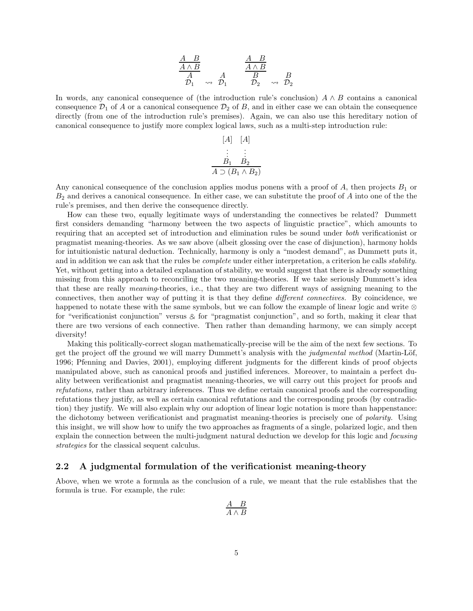$$
\begin{array}{ccc}\n\frac{A & B}{A \wedge B} & & \frac{A & B}{A \wedge B} \\
\hline\nA & & A & B & B \\
\mathcal{D}_1 & \leadsto & \mathcal{D}_1 & & \mathcal{D}_2 & \leadsto & \mathcal{D}_2\n\end{array}
$$

In words, any canonical consequence of (the introduction rule's conclusion)  $A \wedge B$  contains a canonical consequence  $\mathcal{D}_1$  of A or a canonical consequence  $\mathcal{D}_2$  of B, and in either case we can obtain the consequence directly (from one of the introduction rule's premises). Again, we can also use this hereditary notion of canonical consequence to justify more complex logical laws, such as a multi-step introduction rule:

$$
[A] [A]
$$
  
\n
$$
\vdots
$$
  
\n
$$
\underline{B_1} \ \underline{B_2}
$$
  
\n
$$
\underline{A \supset (B_1 \land B_2)}
$$

Any canonical consequence of the conclusion applies modus ponens with a proof of  $A$ , then projects  $B_1$  or  $B_2$  and derives a canonical consequence. In either case, we can substitute the proof of  $A$  into one of the the rule's premises, and then derive the consequence directly.

How can these two, equally legitimate ways of understanding the connectives be related? Dummett first considers demanding "harmony between the two aspects of linguistic practice", which amounts to requiring that an accepted set of introduction and elimination rules be sound under both verificationist or pragmatist meaning-theories. As we saw above (albeit glossing over the case of disjunction), harmony holds for intuitionistic natural deduction. Technically, harmony is only a "modest demand", as Dummett puts it, and in addition we can ask that the rules be *complete* under either interpretation, a criterion he calls *stability*. Yet, without getting into a detailed explanation of stability, we would suggest that there is already something missing from this approach to reconciling the two meaning-theories. If we take seriously Dummett's idea that these are really meaning-theories, i.e., that they are two different ways of assigning meaning to the connectives, then another way of putting it is that they define different connectives. By coincidence, we happened to notate these with the same symbols, but we can follow the example of linear logic and write ⊗ for "verificationist conjunction" versus  $\&$  for "pragmatist conjunction", and so forth, making it clear that there are two versions of each connective. Then rather than demanding harmony, we can simply accept diversity!

Making this politically-correct slogan mathematically-precise will be the aim of the next few sections. To get the project off the ground we will marry Dummett's analysis with the judgmental method (Martin-Löf, 1996; Pfenning and Davies, 2001), employing different judgments for the different kinds of proof objects manipulated above, such as canonical proofs and justified inferences. Moreover, to maintain a perfect duality between verificationist and pragmatist meaning-theories, we will carry out this project for proofs and refutations, rather than arbitrary inferences. Thus we define certain canonical proofs and the corresponding refutations they justify, as well as certain canonical refutations and the corresponding proofs (by contradiction) they justify. We will also explain why our adoption of linear logic notation is more than happenstance: the dichotomy between verificationist and pragmatist meaning-theories is precisely one of polarity. Using this insight, we will show how to unify the two approaches as fragments of a single, polarized logic, and then explain the connection between the multi-judgment natural deduction we develop for this logic and *focusing* strategies for the classical sequent calculus.

## 2.2 A judgmental formulation of the verificationist meaning-theory

Above, when we wrote a formula as the conclusion of a rule, we meant that the rule establishes that the formula is true. For example, the rule:

$$
\frac{A \quad B}{A \land B}
$$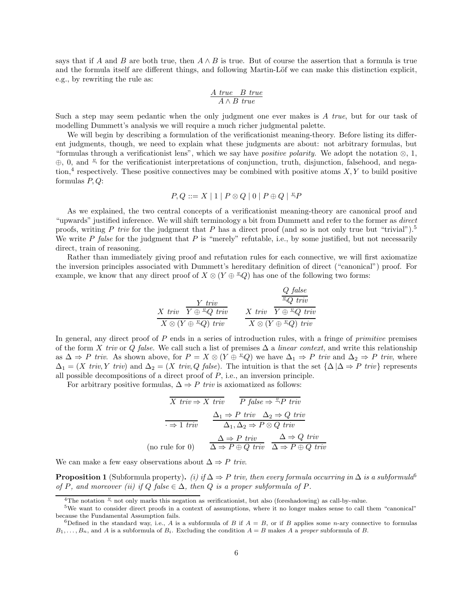says that if A and B are both true, then  $A \wedge B$  is true. But of course the assertion that a formula is true and the formula itself are different things, and following Martin-Löf we can make this distinction explicit, e.g., by rewriting the rule as:

$$
\frac{A\ true\ \ B\ true}{A \land B\ true}
$$

Such a step may seem pedantic when the only judgment one ever makes is A true, but for our task of modelling Dummett's analysis we will require a much richer judgmental palette.

We will begin by describing a formulation of the verificationist meaning-theory. Before listing its different judgments, though, we need to explain what these judgments are about: not arbitrary formulas, but "formulas through a verificationist lens", which we say have *positive polarity*. We adopt the notation  $\otimes$ , 1, ⊕, 0, and <sup>*u*</sup> for the verificationist interpretations of conjunction, truth, disjunction, falsehood, and negation,<sup>4</sup> respectively. These positive connectives may be combined with positive atoms  $X, Y$  to build positive formulas  $P, Q$ :

$$
P, Q ::= X \mid 1 \mid P \otimes Q \mid 0 \mid P \oplus Q \mid {^{\mathfrak{L}}}P
$$

As we explained, the two central concepts of a verificationist meaning-theory are canonical proof and "upwards" justified inference. We will shift terminology a bit from Dummett and refer to the former as *direct* proofs, writing P triv for the judgment that P has a direct proof (and so is not only true but "trivial").<sup>5</sup> We write  $P$  false for the judgment that  $P$  is "merely" refutable, i.e., by some justified, but not necessarily direct, train of reasoning.

Rather than immediately giving proof and refutation rules for each connective, we will first axiomatize the inversion principles associated with Dummett's hereditary definition of direct ("canonical") proof. For example, we know that any direct proof of  $X \otimes (Y \oplus \mathbb{Z}_Q)$  has one of the following two forms:

$$
\begin{array}{cc}\n\frac{V \ \textit{triv}}{X \otimes (Y \oplus \sqrt[\text{2}]{2} \textit{triv})} & \frac{Q \ \textit{false}}{\sqrt[\text{2}]{2} \textit{triv}} \\
\frac{X \ \textit{triv}}{X \otimes (Y \oplus \sqrt[\text{2}]{2}) \ \textit{triv}} & \frac{X \ \textit{triv}}{X \otimes (Y \oplus \sqrt[\text{2}]{2}) \ \textit{triv}} \\
\end{array}
$$

In general, any direct proof of  $P$  ends in a series of introduction rules, with a fringe of *primitive* premises of the form X triv or Q false. We call such a list of premises  $\Delta$  a linear context, and write this relationship as  $\Delta \Rightarrow P$  triv. As shown above, for  $P = X \otimes (Y \oplus \mathbb{Z}_q Q)$  we have  $\Delta_1 \Rightarrow P$  triv and  $\Delta_2 \Rightarrow P$  triv, where  $\Delta_1 = (X \text{ triv}, Y \text{ triv})$  and  $\Delta_2 = (X \text{ triv}, Q \text{ false})$ . The intuition is that the set  $\{\Delta | \Delta \Rightarrow P \text{ triv}\}$  represents all possible decompositions of a direct proof of  $P$ , i.e., an inversion principle.

For arbitrary positive formulas,  $\Delta \Rightarrow P$  triv is axiomatized as follows:

$$
\begin{array}{ccc}\n\overline{X}\ \textit{triv} \Rightarrow X\ \textit{triv} & P\ \textit{false} \Rightarrow \frac{v}{\cdot} P\ \textit{triv} \\
\hline\n\hline\n\end{array}\n\quad\n\begin{array}{ccc}\n\Delta_1 \Rightarrow P\ \textit{triv} & \Delta_2 \Rightarrow Q\ \textit{triv} \\
\Delta_1, \Delta_2 \Rightarrow P \otimes Q\ \textit{triv} \\
\hline\n\end{array}\n\quad\n\begin{array}{ccc}\n\Delta \Rightarrow P\ \textit{triv} & \Delta \Rightarrow Q\ \textit{triv} \\
\Delta \Rightarrow P \oplus Q\ \textit{triv} & \Delta \Rightarrow P \oplus Q\ \textit{triv}\n\end{array}
$$

We can make a few easy observations about  $\Delta \Rightarrow P$  triv.

**Proposition 1** (Subformula property). (i) if  $\Delta \Rightarrow P$  triv, then every formula occurring in  $\Delta$  is a subformula<sup>6</sup> of P, and moreover (ii) if Q false  $\in \Delta$ , then Q is a proper subformula of P.

<sup>&</sup>lt;sup>4</sup>The notation  $\frac{v}{n}$  not only marks this negation as verificationist, but also (foreshadowing) as call-by-value.

<sup>5</sup>We want to consider direct proofs in a context of assumptions, where it no longer makes sense to call them "canonical" because the Fundamental Assumption fails.

<sup>&</sup>lt;sup>6</sup>Defined in the standard way, i.e., A is a subformula of B if  $A = B$ , or if B applies some n-ary connective to formulas  $B_1, \ldots, B_n$ , and A is a subformula of  $B_i$ . Excluding the condition  $A = B$  makes A a proper subformula of B.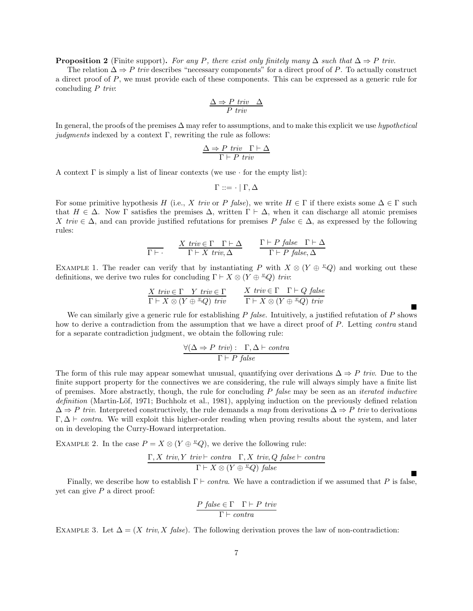**Proposition 2** (Finite support). For any P, there exist only finitely many  $\Delta$  such that  $\Delta \Rightarrow P$  triv.

The relation  $\Delta \Rightarrow P$  triv describes "necessary components" for a direct proof of P. To actually construct a direct proof of P, we must provide each of these components. This can be expressed as a generic rule for concluding  $P$  triv.

$$
\frac{\Delta \Rightarrow P \text{ triv } \Delta}{P \text{ triv}}
$$

In general, the proofs of the premises  $\Delta$  may refer to assumptions, and to make this explicit we use hypothetical judgments indexed by a context  $\Gamma$ , rewriting the rule as follows:

$$
\frac{\Delta \Rightarrow P \text{ triv } \Gamma \vdash \Delta}{\Gamma \vdash P \text{ triv}}
$$

A context  $\Gamma$  is simply a list of linear contexts (we use  $\cdot$  for the empty list):

$$
\Gamma ::= \cdot \mid \Gamma, \Delta
$$

For some primitive hypothesis H (i.e., X triv or P false), we write  $H \in \Gamma$  if there exists some  $\Delta \in \Gamma$  such that  $H \in \Delta$ . Now  $\Gamma$  satisfies the premises  $\Delta$ , written  $\Gamma \vdash \Delta$ , when it can discharge all atomic premises X triv  $\in \Delta$ , and can provide justified refutations for premises P false  $\in \Delta$ , as expressed by the following rules:

$$
\frac{X \text{ } triv \in \Gamma \quad \Gamma \vdash \Delta}{\Gamma \vdash X \text{ } triv, \Delta} \qquad \frac{\Gamma \vdash P \text{ } false \quad \Gamma \vdash \Delta}{\Gamma \vdash P \text{ } false, \Delta}
$$

EXAMPLE 1. The reader can verify that by instantiating P with  $X \otimes (Y \oplus \overset{v}{\oplus} Q)$  and working out these definitions, we derive two rules for concluding  $\Gamma \vdash X \otimes (Y \oplus \llcorner Q)$  triv:

$$
\frac{X \text{ } triv \in \Gamma \quad Y \text{ } triv \in \Gamma}{\Gamma \vdash X \otimes (Y \oplus \sqrt[x]{Q}) \text{ } triv} \qquad \frac{X \text{ } triv \in \Gamma \quad \Gamma \vdash Q \text{ } false}{\Gamma \vdash X \otimes (Y \oplus \sqrt[x]{Q}) \text{ } triv}
$$

 $\blacksquare$ 

 $\blacksquare$ 

We can similarly give a generic rule for establishing  $P$  false. Intuitively, a justified refutation of  $P$  shows how to derive a contradiction from the assumption that we have a direct proof of P. Letting *contra* stand for a separate contradiction judgment, we obtain the following rule:

$$
\frac{\forall (\Delta \Rightarrow P \text{ triv}) : \Gamma, \Delta \vdash \text{contra}}{\Gamma \vdash P \text{ false}}
$$

The form of this rule may appear somewhat unusual, quantifying over derivations  $\Delta \Rightarrow P$  triv. Due to the finite support property for the connectives we are considering, the rule will always simply have a finite list of premises. More abstractly, though, the rule for concluding  $P$  false may be seen as an *iterated inductive* definition (Martin-Löf, 1971; Buchholz et al., 1981), applying induction on the previously defined relation  $\Delta \Rightarrow P$  triv. Interpreted constructively, the rule demands a map from derivations  $\Delta \Rightarrow P$  triv to derivations  $\Gamma, \Delta \vdash \text{contra.}$  We will exploit this higher-order reading when proving results about the system, and later on in developing the Curry-Howard interpretation.

EXAMPLE 2. In the case  $P = X \otimes (Y \oplus \overset{v}{\rightarrow} Q)$ , we derive the following rule:

$$
\frac{\Gamma, X \ triv, Y \ triv \vdash contra \ \Gamma, X \ triv, Q \ false \vdash contra}{\Gamma \vdash X \otimes (Y \oplus \sqrt[x]{Q}) \ false}
$$

Finally, we describe how to establish  $\Gamma \vdash \text{contra}$ . We have a contradiction if we assumed that P is false, yet can give  $P$  a direct proof:

$$
\frac{P \ \text{false} \in \Gamma \quad \Gamma \vdash P \ \text{triv}}{\Gamma \vdash \text{contra}}
$$

EXAMPLE 3. Let  $\Delta = (X \text{ triv}, X \text{ false})$ . The following derivation proves the law of non-contradiction: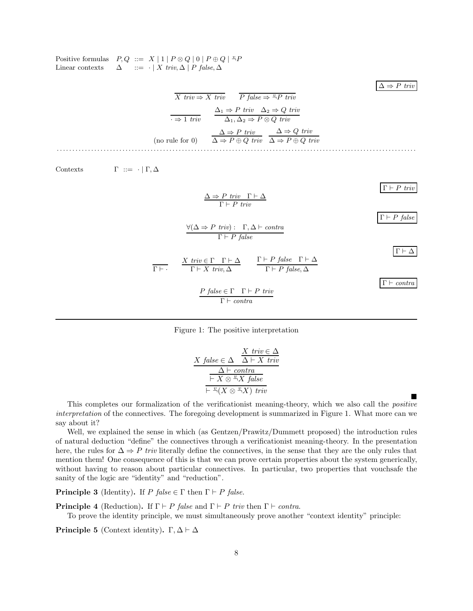Positive formulas  $P, Q ::= X | 1 | P \otimes Q | 0 | P \oplus Q | \overset{\circ}{\rightarrow} P$ Linear contexts  $\Delta$  ::=  $\cdot$  | X triv,  $\Delta$  | P false,  $\Delta$ 

 $\Delta \Rightarrow P \text{ triv}$ 

 $\blacksquare$ 

$$
\overline{X} \text{ triv} \Rightarrow X \text{ triv} \qquad \overline{P} \text{ false} \Rightarrow \overset{v}{\rightarrow} P \text{ triv}
$$
\n
$$
\overline{\cdot \Rightarrow 1 \text{ triv}} \qquad \frac{\Delta_1 \Rightarrow P \text{ triv } \Delta_2 \Rightarrow Q \text{ triv}}{\Delta_1, \Delta_2 \Rightarrow P \otimes Q \text{ triv}}
$$
\n(no rule for 0) \qquad \overline{\Delta \Rightarrow P \text{ triv } \Delta \Rightarrow P \oplus Q \text{ triv}}

\n
$$
\overline{\Delta \Rightarrow P \oplus Q \text{ triv } \Delta \Rightarrow P \oplus Q \text{ triv}}
$$

Contexts  $\Gamma := \cdot | \Gamma, \Delta$ 

 $\overline{\Gamma} \vdash P$  triv  $\Delta \Rightarrow P$  triv  $\Gamma \vdash \Delta$  $\Gamma \vdash P$  triv  $\Gamma \vdash P$  false  $\forall (\Delta \Rightarrow P \; \text{triv}) : \Gamma, \Delta \vdash \text{contra}$  $\Gamma \vdash P$  false  $\Gamma\vdash\Delta$  $\overline{\Gamma \vdash \cdot}$  $X$  triv  $\in \Gamma$   $\Gamma \vdash \Delta$  $\Gamma \vdash X$  triv,  $\Delta$  $\Gamma \vdash P$  false  $\Gamma \vdash \Delta$  $\Gamma \vdash P$  false,  $\Delta$  $Γ ⊢ contracta$  $P$  false  $\in \Gamma$   $\Gamma \vdash P$  triv  $\Gamma \vdash \textit{contra}$ 



$$
X \ \text{false} \in \Delta \quad \frac{X \ \text{triv} \in \Delta}{\Delta \vdash X \ \text{triv}} \\
 \frac{\Delta \vdash \text{contra}}{\vdash X \otimes \overset{v}{\neg} X \ \text{false}} \\
 \frac{\vdash^{\omega}(X \otimes \overset{v}{\neg} X) \ \text{triv}}{\vdash^{\omega}(X \otimes \overset{v}{\neg} X) \ \text{triv}}
$$

This completes our formalization of the verificationist meaning-theory, which we also call the positive interpretation of the connectives. The foregoing development is summarized in Figure 1. What more can we say about it?

Well, we explained the sense in which (as Gentzen/Prawitz/Dummett proposed) the introduction rules of natural deduction "define" the connectives through a verificationist meaning-theory. In the presentation here, the rules for  $\Delta \Rightarrow P$  triv literally define the connectives, in the sense that they are the only rules that mention them! One consequence of this is that we can prove certain properties about the system generically, without having to reason about particular connectives. In particular, two properties that vouchsafe the sanity of the logic are "identity" and "reduction".

**Principle 3** (Identity). If P false  $\in \Gamma$  then  $\Gamma \vdash P$  false.

**Principle 4** (Reduction). If  $\Gamma \vdash P$  false and  $\Gamma \vdash P$  triv then  $\Gamma \vdash \text{contra.}$ 

To prove the identity principle, we must simultaneously prove another "context identity" principle:

Principle 5 (Context identity). Γ,  $\Delta \vdash \Delta$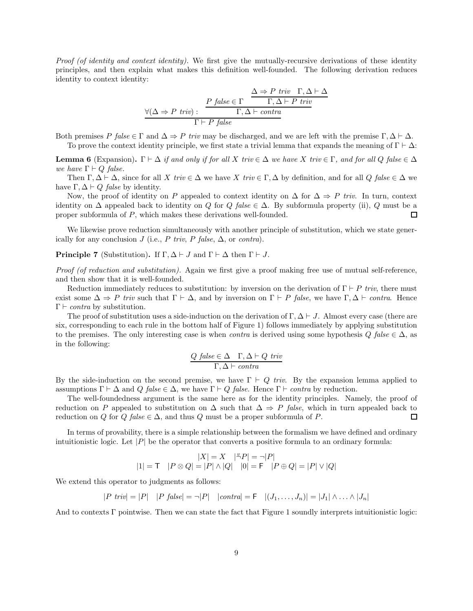Proof (of identity and context identity). We first give the mutually-recursive derivations of these identity principles, and then explain what makes this definition well-founded. The following derivation reduces identity to context identity:

$$
\forall (\Delta \Rightarrow P \text{ triv}) : \begin{array}{c} P \text{ false} \in \Gamma \\ \hline \\ \Gamma, \Delta \vdash P \text{ triv} \\ \Gamma \vdash P \text{ false} \end{array}
$$

Both premises P false  $\in \Gamma$  and  $\Delta \Rightarrow P$  triv may be discharged, and we are left with the premise  $\Gamma, \Delta \vdash \Delta$ . To prove the context identity principle, we first state a trivial lemma that expands the meaning of  $\Gamma \vdash \Delta$ :

**Lemma 6** (Expansion).  $\Gamma \vdash \Delta$  if and only if for all X triv  $\in \Delta$  we have X triv  $\in \Gamma$ , and for all Q false  $\in \Delta$ we have  $\Gamma \vdash Q$  false.

Then  $\Gamma, \Delta \vdash \Delta$ , since for all X triv  $\in \Delta$  we have X triv  $\in \Gamma, \Delta$  by definition, and for all Q false  $\in \Delta$  we have  $\Gamma, \Delta \vdash Q$  false by identity.

Now, the proof of identity on P appealed to context identity on  $\Delta$  for  $\Delta \Rightarrow P$  triv. In turn, context identity on  $\Delta$  appealed back to identity on Q for Q false  $\in \Delta$ . By subformula property (ii), Q must be a proper subformula of P, which makes these derivations well-founded.  $\Box$ 

We likewise prove reduction simultaneously with another principle of substitution, which we state generically for any conclusion J (i.e., P triv, P false,  $\Delta$ , or contra).

**Principle 7** (Substitution). If  $\Gamma, \Delta \vdash J$  and  $\Gamma \vdash \Delta$  then  $\Gamma \vdash J$ .

Proof (of reduction and substitution). Again we first give a proof making free use of mutual self-reference, and then show that it is well-founded.

Reduction immediately reduces to substitution: by inversion on the derivation of  $\Gamma \vdash P$  triv, there must exist some  $\Delta \Rightarrow P$  triv such that  $\Gamma \vdash \Delta$ , and by inversion on  $\Gamma \vdash P$  false, we have  $\Gamma, \Delta \vdash$  contra. Hence  $\Gamma \vdash \textit{contra}$  by substitution.

The proof of substitution uses a side-induction on the derivation of  $\Gamma, \Delta \vdash J$ . Almost every case (there are six, corresponding to each rule in the bottom half of Figure 1) follows immediately by applying substitution to the premises. The only interesting case is when *contra* is derived using some hypothesis  $Q$  false  $\in \Delta$ , as in the following:

$$
Q \ \text{false} \in \Delta \quad \Gamma, \Delta \vdash Q \ \text{triv} \\ \Gamma, \Delta \vdash \text{contra}
$$

By the side-induction on the second premise, we have  $\Gamma \vdash Q$  triv. By the expansion lemma applied to assumptions  $\Gamma \vdash \Delta$  and  $Q$  false  $\in \Delta$ , we have  $\Gamma \vdash Q$  false. Hence  $\Gamma \vdash$  contra by reduction.

The well-foundedness argument is the same here as for the identity principles. Namely, the proof of reduction on P appealed to substitution on  $\Delta$  such that  $\Delta \Rightarrow P$  false, which in turn appealed back to reduction on Q for Q false  $\in \Delta$ , and thus Q must be a proper subformula of P. П

In terms of provability, there is a simple relationship between the formalism we have defined and ordinary intuitionistic logic. Let  $|P|$  be the operator that converts a positive formula to an ordinary formula:

$$
\begin{array}{c} |X|=X \quad |^{\mathcal{L}}\!P|=\neg |P| \\ |1|=\mathsf{T} \quad |P\otimes Q|=|P|\wedge |Q| \quad |0|=\mathsf{F} \quad |P\oplus Q|=|P|\vee |Q| \end{array}
$$

We extend this operator to judgments as follows:

$$
|P \text{ } \textit{triv}| = |P| \quad |P \text{ } \textit{false}| = \neg |P| \quad |\textit{contra}| = \mathsf{F} \quad |(J_1, \ldots, J_n)| = |J_1| \wedge \ldots \wedge |J_n|
$$

And to contexts Γ pointwise. Then we can state the fact that Figure 1 soundly interprets intuitionistic logic: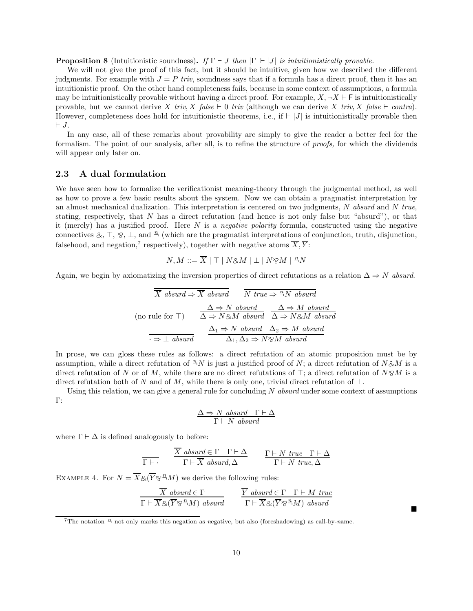**Proposition 8** (Intuitionistic soundness). If  $\Gamma \vdash J$  then  $|\Gamma| \vdash |J|$  is intuitionistically provable.

We will not give the proof of this fact, but it should be intuitive, given how we described the different judgments. For example with  $J = P$  triv, soundness says that if a formula has a direct proof, then it has an intuitionistic proof. On the other hand completeness fails, because in some context of assumptions, a formula may be intuitionistically provable without having a direct proof. For example,  $X, \neg X \vdash F$  is intuitionistically provable, but we cannot derive X triv, X false ⊢ 0 triv (although we can derive X triv, X false ⊢ contra). However, completeness does hold for intuitionistic theorems, i.e., if  $\vdash |J|$  is intuitionistically provable then ⊢ J.

In any case, all of these remarks about provability are simply to give the reader a better feel for the formalism. The point of our analysis, after all, is to refine the structure of proofs, for which the dividends will appear only later on.

### 2.3 A dual formulation

We have seen how to formalize the verificationist meaning-theory through the judgmental method, as well as how to prove a few basic results about the system. Now we can obtain a pragmatist interpretation by an almost mechanical dualization. This interpretation is centered on two judgments,  $N$  absurd and  $N$  true, stating, respectively, that N has a direct refutation (and hence is not only false but "absurd"), or that it (merely) has a justified proof. Here  $N$  is a negative polarity formula, constructed using the negative connectives &,  $\top$ ,  $\frac{1}{8}$ ,  $\bot$ , and  $\frac{n}{2}$  (which are the pragmatist interpretations of conjunction, truth, disjunction, falsehood, and negation,<sup>7</sup> respectively), together with negative atoms  $\overline{X}, \overline{Y}$ :

$$
N, M ::= \overline{X} \mid \top \mid N \otimes M \mid \bot \mid N \otimes M \mid \sqrt[n]{N}
$$

Again, we begin by axiomatizing the inversion properties of direct refutations as a relation  $\Delta \Rightarrow N$  absurd.

$$
\overline{X} \text{ absurd} \Rightarrow \overline{X} \text{ absurd} \qquad \overline{N} \text{ true} \Rightarrow \overline{N} \text{ absurd}
$$
\n(no rule for T)

\n
$$
\Delta \Rightarrow N \text{ absurd} \qquad \Delta \Rightarrow M \text{ absurd}
$$
\n
$$
\Delta \Rightarrow N \otimes M \text{ absurd} \qquad \Delta \Rightarrow N \otimes M \text{ absurd}
$$
\n
$$
\frac{\Delta_1 \Rightarrow N \text{ absurd}}{\Delta_1, \Delta_2 \Rightarrow N \otimes M \text{ absurd}}
$$

In prose, we can gloss these rules as follows: a direct refutation of an atomic proposition must be by assumption, while a direct refutation of  ${}^nN$  is just a justified proof of N; a direct refutation of N&M is a direct refutation of N or of M, while there are no direct refutations of ⊤; a direct refutation of  $N\otimes M$  is a direct refutation both of N and of M, while there is only one, trivial direct refutation of  $\bot$ .

Using this relation, we can give a general rule for concluding  $N$  absurd under some context of assumptions Γ:

$$
\frac{\Delta \Rightarrow N\; \;absurd \quad \Gamma \vdash \Delta}{\Gamma \vdash N\; \;absurd}
$$

where  $\Gamma \vdash \Delta$  is defined analogously to before:

$$
\frac{\overline{X} \text{ absurd} \in \Gamma \quad \Gamma \vdash \Delta}{\Gamma \vdash \overline{X} \text{ absurd}, \Delta} \qquad \frac{\Gamma \vdash N \text{ true} \quad \Gamma \vdash \Delta}{\Gamma \vdash N \text{ true}, \Delta}
$$

EXAMPLE 4. For  $N = \overline{X} \& (\overline{Y} \otimes^m M)$  we derive the following rules:

$$
\frac{\overline{X} \text{ absurd} \in \Gamma}{\Gamma \vdash \overline{X} \otimes (\overline{Y} \otimes^{\mathbb{R}} M) \text{ absurd}} \qquad \frac{\overline{Y} \text{ absurd} \in \Gamma \quad \Gamma \vdash M \text{ true}}{\Gamma \vdash \overline{X} \otimes (\overline{Y} \otimes^{\mathbb{R}} M) \text{ absurd}}
$$

 $\blacksquare$ 

<sup>&</sup>lt;sup>7</sup>The notation  $\frac{n}{2}$  not only marks this negation as negative, but also (foreshadowing) as call-by-name.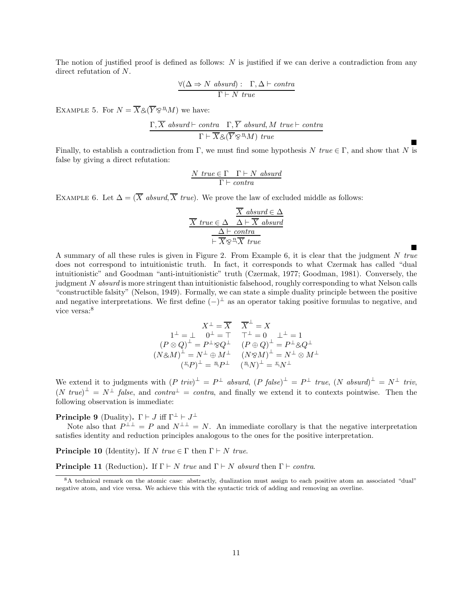The notion of justified proof is defined as follows:  $N$  is justified if we can derive a contradiction from any direct refutation of N.

$$
\frac{\forall (\Delta \Rightarrow N \text{ absurd}) : \Gamma, \Delta \vdash contra}{\Gamma \vdash N \text{ true}}
$$

EXAMPLE 5. For  $N = \overline{X} \otimes (\overline{Y} \otimes^m M)$  we have:

$$
\frac{\Gamma,\overline{X} \; absurd \vdash contra \quad \Gamma,\overline{Y} \; absurd, M \; true \vdash contra}{\Gamma \vdash \overline{X} \& (\overline{Y} \otimes^{\mathsf{r}} M) \; true}
$$

Finally, to establish a contradiction from Γ, we must find some hypothesis N true  $\in \Gamma$ , and show that N is false by giving a direct refutation:

 $\blacksquare$ 

 $\blacksquare$ 

$$
\frac{N \ \mathit{true} \in \Gamma \quad \Gamma \vdash N \ \mathit{absurd}}{\Gamma \vdash \mathit{contra}}
$$

EXAMPLE 6. Let  $\Delta = (\overline{X}$  absurd,  $\overline{X}$  true). We prove the law of excluded middle as follows:

$$
\frac{\overline{X} \text{ absurd} \in \Delta}{\overline{X} \text{ true} \in \Delta} \frac{\overline{X} \text{ absurd}}{\Delta \vdash \overline{X} \text{ absurd}}
$$
\n
$$
\frac{\Delta \vdash \text{contra}}{\vdash \overline{X} \otimes \sqrt[n]{X} \text{ true}}
$$

A summary of all these rules is given in Figure 2. From Example 6, it is clear that the judgment N true does not correspond to intuitionistic truth. In fact, it corresponds to what Czermak has called "dual intuitionistic" and Goodman "anti-intuitionistic" truth (Czermak, 1977; Goodman, 1981). Conversely, the judgment N absurd is more stringent than intuitionistic falsehood, roughly corresponding to what Nelson calls "constructible falsity" (Nelson, 1949). Formally, we can state a simple duality principle between the positive and negative interpretations. We first define  $(-)^{\perp}$  as an operator taking positive formulas to negative, and vice versa:<sup>8</sup>

$$
X^{\perp} = \overline{X} \qquad \overline{X}^{\perp} = X
$$
  
\n
$$
1^{\perp} = \perp \quad 0^{\perp} = \top \qquad \top^{\perp} = 0 \qquad \perp^{\perp} = 1
$$
  
\n
$$
(P \otimes Q)^{\perp} = P^{\perp} \otimes Q^{\perp} \qquad (P \oplus Q)^{\perp} = P^{\perp} \otimes Q^{\perp}
$$
  
\n
$$
(N \otimes M)^{\perp} = N^{\perp} \oplus M^{\perp} \qquad (N \otimes M)^{\perp} = N^{\perp} \otimes M^{\perp}
$$
  
\n
$$
(^{x}P)^{\perp} = \stackrel{n}{\rightarrow} P^{\perp} \qquad (^{n}N)^{\perp} = \stackrel{v}{\rightarrow} N^{\perp}
$$

We extend it to judgments with  $(P \text{ triv})^{\perp} = P^{\perp}$  absurd,  $(P \text{ false})^{\perp} = P^{\perp} \text{ true}$ ,  $(N \text{ absurd})^{\perp} = N^{\perp} \text{ triv}$ ,  $(N \; true)^{\perp} = N^{\perp} \; false$ , and  $contra^{\perp} = contra$ , and finally we extend it to contexts pointwise. Then the following observation is immediate:

**Principle 9** (Duality).  $\Gamma \vdash J$  iff  $\Gamma^{\perp} \vdash J^{\perp}$ 

Note also that  $P^{\perp \perp} = P$  and  $N^{\perp \perp} = N$ . An immediate corollary is that the negative interpretation satisfies identity and reduction principles analogous to the ones for the positive interpretation.

**Principle 10** (Identity). If N true  $\in \Gamma$  then  $\Gamma \vdash N$  true.

**Principle 11** (Reduction). If  $\Gamma \vdash N$  true and  $\Gamma \vdash N$  absurd then  $\Gamma \vdash \text{contra.}$ 

<sup>8</sup>A technical remark on the atomic case: abstractly, dualization must assign to each positive atom an associated "dual" negative atom, and vice versa. We achieve this with the syntactic trick of adding and removing an overline.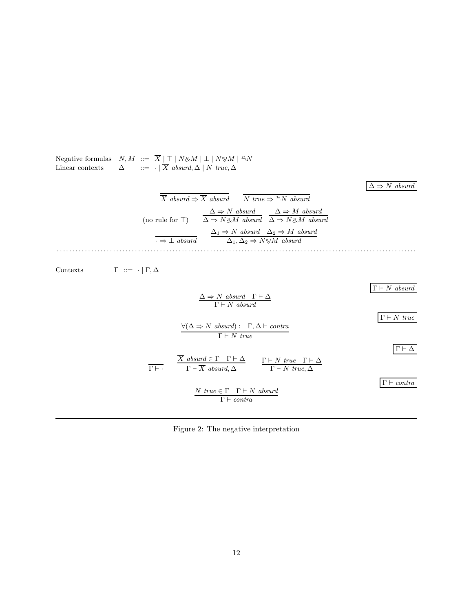

Figure 2: The negative interpretation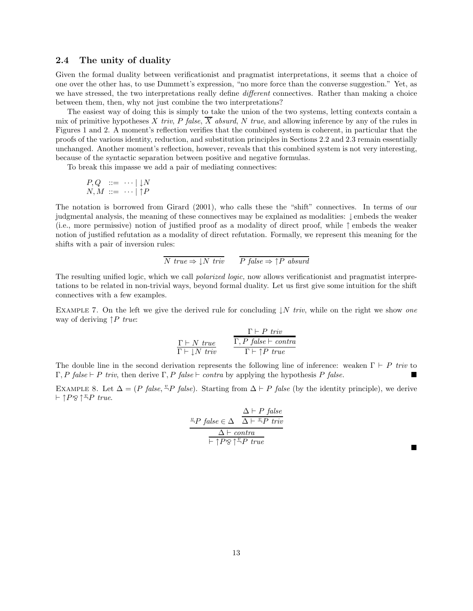### 2.4 The unity of duality

Given the formal duality between verificationist and pragmatist interpretations, it seems that a choice of one over the other has, to use Dummett's expression, "no more force than the converse suggestion." Yet, as we have stressed, the two interpretations really define *different* connectives. Rather than making a choice between them, then, why not just combine the two interpretations?

The easiest way of doing this is simply to take the union of the two systems, letting contexts contain a mix of primitive hypotheses X triv, P false,  $\overline{X}$  absurd, N true, and allowing inference by any of the rules in Figures 1 and 2. A moment's reflection verifies that the combined system is coherent, in particular that the proofs of the various identity, reduction, and substitution principles in Sections 2.2 and 2.3 remain essentially unchanged. Another moment's reflection, however, reveals that this combined system is not very interesting, because of the syntactic separation between positive and negative formulas.

To break this impasse we add a pair of mediating connectives:

$$
\begin{array}{ll} P, Q & ::= & \cdots \mid \downarrow N \\ N, M & ::= & \cdots \mid \uparrow P \end{array}
$$

The notation is borrowed from Girard (2001), who calls these the "shift" connectives. In terms of our judgmental analysis, the meaning of these connectives may be explained as modalities: ↓ embeds the weaker (i.e., more permissive) notion of justified proof as a modality of direct proof, while ↑ embeds the weaker notion of justified refutation as a modality of direct refutation. Formally, we represent this meaning for the shifts with a pair of inversion rules:

$$
\overline{N \; true} \Rightarrow \downarrow N \; \text{triv} \qquad \overline{P \; \text{false}} \Rightarrow \uparrow P \; \text{absurd}
$$

The resulting unified logic, which we call polarized logic, now allows verificationist and pragmatist interpretations to be related in non-trivial ways, beyond formal duality. Let us first give some intuition for the shift connectives with a few examples.

EXAMPLE 7. On the left we give the derived rule for concluding  $\downarrow N$  triv, while on the right we show one way of deriving  $\uparrow P$  true:

$$
\frac{\Gamma \vdash P \; \mathit{triv}}{\Gamma \vdash \downarrow N \; \mathit{triv}} \qquad \frac{\Gamma \vdash P \; \mathit{triv}}{\Gamma \vdash \uparrow P \; \mathit{triv}}\n \qquad\n \frac{\Gamma \vdash P \; \mathit{triv}}{\Gamma \vdash \uparrow P \; \mathit{triv}}
$$

The double line in the second derivation represents the following line of inference: weaken  $\Gamma \vdash P$  triv to Γ, P false  $⊩$  P triv, then derive Γ, P false  $⊩$  contra by applying the hypothesis P false.

EXAMPLE 8. Let  $\Delta = (P \ false, \frac{v}{r}P \ false)$ . Starting from  $\Delta \vdash P \ false$  (by the identity principle), we derive  $\vdash \uparrow P \otimes \uparrow \overset{v}{\neg} P$  true.

$$
\frac{P}{P} \text{ false} \in \Delta \quad \frac{\Delta \vdash P \text{ false}}{\Delta \vdash P \text{ true}}
$$
\n
$$
\frac{\Delta \vdash \text{contra}}{\vdash \uparrow P \otimes \uparrow^{\mathcal{D}} P \text{ true}}
$$

 $\blacksquare$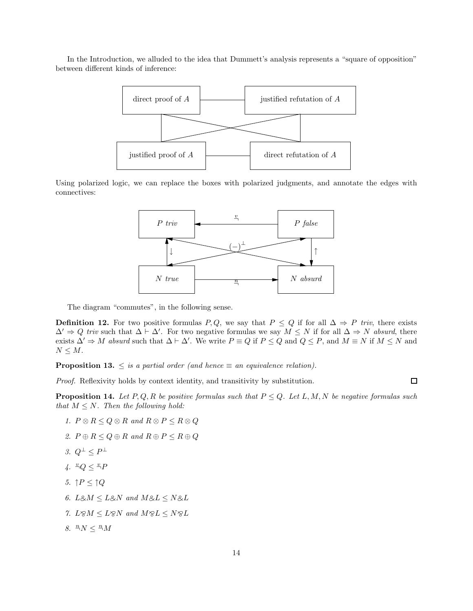In the Introduction, we alluded to the idea that Dummett's analysis represents a "square of opposition" between different kinds of inference:



Using polarized logic, we can replace the boxes with polarized judgments, and annotate the edges with connectives:



The diagram "commutes", in the following sense.

**Definition 12.** For two positive formulas P, Q, we say that  $P \leq Q$  if for all  $\Delta \Rightarrow P$  triv, there exists  $\Delta' \Rightarrow Q$  triv such that  $\Delta \vdash \Delta'$ . For two negative formulas we say  $M \leq N$  if for all  $\Delta \Rightarrow N$  absurd, there exists  $\Delta' \Rightarrow M$  absurd such that  $\Delta \vdash \Delta'$ . We write  $P \equiv Q$  if  $P \leq Q$  and  $Q \leq P$ , and  $M \equiv N$  if  $M \leq N$  and  $N \leq M$ .

**Proposition 13.**  $\leq$  is a partial order (and hence  $\equiv$  an equivalence relation).

Proof. Reflexivity holds by context identity, and transitivity by substitution.

 $\Box$ 

**Proposition 14.** Let P, Q, R be positive formulas such that  $P \leq Q$ . Let L, M, N be negative formulas such that  $M \leq N$ . Then the following hold:

- 1.  $P \otimes R \leq Q \otimes R$  and  $R \otimes P \leq R \otimes Q$
- 2.  $P \oplus R \le Q \oplus R$  and  $R \oplus P \le R \oplus Q$
- 3.  $Q^{\perp} \leq P^{\perp}$
- $4. \ \ \frac{v}{q}Q \leq \frac{v}{q}F$
- 5.  $\uparrow P \leq \uparrow Q$
- 6. L&M  $\leq$  L&N and M&L  $\leq N \&L$
- 7.  $L \otimes M \leq L \otimes N$  and  $M \otimes L \leq N \otimes L$
- 8.  $\sqrt[n]{N} \leq \sqrt[n]{M}$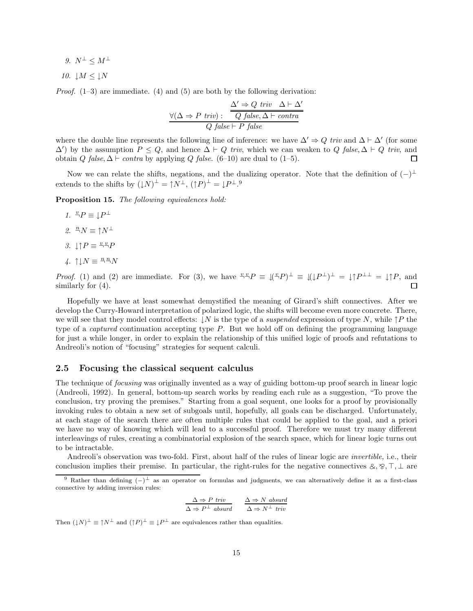9.  $N^{\perp} \leq M^{\perp}$ 

10.  $\downarrow$ M  $\leq \downarrow$ N

*Proof.*  $(1-3)$  are immediate.  $(4)$  and  $(5)$  are both by the following derivation:

$$
\frac{\Delta' \Rightarrow Q \ triv \quad \Delta \vdash \Delta'}{Q \ false, \Delta \vdash \textit{contra}} \nonumber\\ \frac{\forall (\Delta \Rightarrow P \ triv): \quad \overline{Q \ false}, \Delta \vdash \textit{contra}}{Q \ false \vdash P \ false}
$$

where the double line represents the following line of inference: we have  $\Delta' \Rightarrow Q$  triv and  $\Delta \vdash \Delta'$  (for some  $\Delta'$ ) by the assumption  $P \leq Q$ , and hence  $\Delta \vdash Q$  triv, which we can weaken to  $Q$  false,  $\Delta \vdash Q$  triv, and obtain Q false,  $\Delta \vdash$  contra by applying Q false. (6–10) are dual to (1–5).  $\Box$ 

Now we can relate the shifts, negations, and the dualizing operator. Note that the definition of  $(-)^{\perp}$ extends to the shifts by  $(1N)^{\perp} = \uparrow N^{\perp}$ ,  $(\uparrow P)^{\perp} = \downarrow P^{\perp}$ .<sup>9</sup>

Proposition 15. The following equivalences hold:

- 1.  $P^{\perp} = \downarrow P^{\perp}$
- 2.  $^{\underline{n}}N \equiv \uparrow N^{\perp}$
- 3.  $\downarrow \uparrow P \equiv \frac{v \cdot v}{2}P$
- 4.  $\uparrow \downarrow N \equiv \frac{n}{2} \frac{n}{N}$

*Proof.* (1) and (2) are immediate. For (3), we have  $\sqrt[n]{\,}P \equiv \sqrt[n]{(P)}^{\perp} \equiv \sqrt[n]{(P^{\perp})^{\perp}} = \sqrt[n]{P^{\perp \perp}} = \sqrt[n]{P}$ , and similarly for  $(4)$ .  $\Box$ 

Hopefully we have at least somewhat demystified the meaning of Girard's shift connectives. After we develop the Curry-Howard interpretation of polarized logic, the shifts will become even more concrete. There, we will see that they model control effects:  $\downarrow N$  is the type of a *suspended* expression of type N, while  $\uparrow P$  the type of a *captured* continuation accepting type  $P$ . But we hold off on defining the programming language for just a while longer, in order to explain the relationship of this unified logic of proofs and refutations to Andreoli's notion of "focusing" strategies for sequent calculi.

### 2.5 Focusing the classical sequent calculus

The technique of *focusing* was originally invented as a way of guiding bottom-up proof search in linear logic (Andreoli, 1992). In general, bottom-up search works by reading each rule as a suggestion, "To prove the conclusion, try proving the premises." Starting from a goal sequent, one looks for a proof by provisionally invoking rules to obtain a new set of subgoals until, hopefully, all goals can be discharged. Unfortunately, at each stage of the search there are often multiple rules that could be applied to the goal, and a priori we have no way of knowing which will lead to a successful proof. Therefore we must try many different interleavings of rules, creating a combinatorial explosion of the search space, which for linear logic turns out to be intractable.

Andreoli's observation was two-fold. First, about half of the rules of linear logic are invertible, i.e., their conclusion implies their premise. In particular, the right-rules for the negative connectives  $\&, \&, \top, \bot$  are

$$
\frac{\Delta \Rightarrow P \text{ triv}}{\Delta \Rightarrow P^{\perp} \text{ absurd}} \qquad \frac{\Delta \Rightarrow N \text{ absurd}}{\Delta \Rightarrow N^{\perp} \text{ triv}}
$$

Then  $(1N)^{\perp} \equiv \uparrow N^{\perp}$  and  $(\uparrow P)^{\perp} \equiv \downarrow P^{\perp}$  are equivalences rather than equalities.

<sup>&</sup>lt;sup>9</sup> Rather than defining  $(-)^{\perp}$  as an operator on formulas and judgments, we can alternatively define it as a first-class connective by adding inversion rules: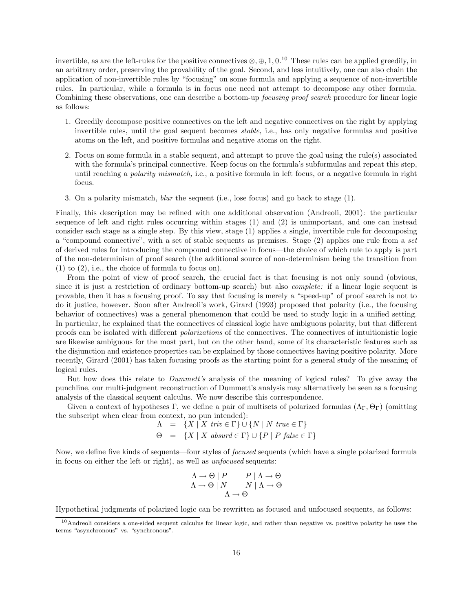invertible, as are the left-rules for the positive connectives  $\otimes$ ,  $\oplus$ , 1, 0.<sup>10</sup> These rules can be applied greedily, in an arbitrary order, preserving the provability of the goal. Second, and less intuitively, one can also chain the application of non-invertible rules by "focusing" on some formula and applying a sequence of non-invertible rules. In particular, while a formula is in focus one need not attempt to decompose any other formula. Combining these observations, one can describe a bottom-up *focusing proof search* procedure for linear logic as follows:

- 1. Greedily decompose positive connectives on the left and negative connectives on the right by applying invertible rules, until the goal sequent becomes stable, i.e., has only negative formulas and positive atoms on the left, and positive formulas and negative atoms on the right.
- 2. Focus on some formula in a stable sequent, and attempt to prove the goal using the rule(s) associated with the formula's principal connective. Keep focus on the formula's subformulas and repeat this step, until reaching a *polarity mismatch*, i.e., a positive formula in left focus, or a negative formula in right focus.
- 3. On a polarity mismatch, blur the sequent (i.e., lose focus) and go back to stage (1).

Finally, this description may be refined with one additional observation (Andreoli, 2001): the particular sequence of left and right rules occurring within stages (1) and (2) is unimportant, and one can instead consider each stage as a single step. By this view, stage (1) applies a single, invertible rule for decomposing a "compound connective", with a set of stable sequents as premises. Stage (2) applies one rule from a set of derived rules for introducing the compound connective in focus—the choice of which rule to apply is part of the non-determinism of proof search (the additional source of non-determinism being the transition from (1) to (2), i.e., the choice of formula to focus on).

From the point of view of proof search, the crucial fact is that focusing is not only sound (obvious, since it is just a restriction of ordinary bottom-up search) but also complete: if a linear logic sequent is provable, then it has a focusing proof. To say that focusing is merely a "speed-up" of proof search is not to do it justice, however. Soon after Andreoli's work, Girard (1993) proposed that polarity (i.e., the focusing behavior of connectives) was a general phenomenon that could be used to study logic in a unified setting. In particular, he explained that the connectives of classical logic have ambiguous polarity, but that different proofs can be isolated with different polarizations of the connectives. The connectives of intuitionistic logic are likewise ambiguous for the most part, but on the other hand, some of its characteristic features such as the disjunction and existence properties can be explained by those connectives having positive polarity. More recently, Girard (2001) has taken focusing proofs as the starting point for a general study of the meaning of logical rules.

But how does this relate to *Dummett's* analysis of the meaning of logical rules? To give away the punchline, our multi-judgment reconstruction of Dummett's analysis may alternatively be seen as a focusing analysis of the classical sequent calculus. We now describe this correspondence.

Given a context of hypotheses Γ, we define a pair of multisets of polarized formulas  $(\Lambda_{\Gamma}, \Theta_{\Gamma})$  (omitting the subscript when clear from context, no pun intended):

$$
\begin{array}{rcl}\n\Lambda & = & \{X \mid X \text{ } triv \in \Gamma\} \cup \{N \mid N \text{ } true \in \Gamma\} \\
\Theta & = & \{\overline{X} \mid \overline{X} \text{ } absurd \in \Gamma\} \cup \{P \mid P \text{ } false \in \Gamma\}\n\end{array}
$$

Now, we define five kinds of sequents—four styles of *focused* sequents (which have a single polarized formula in focus on either the left or right), as well as unfocused sequents:

$$
\begin{array}{c}\n\Lambda \to \Theta \mid P \quad P \mid \Lambda \to \Theta \\
\Lambda \to \Theta \mid N \quad N \mid \Lambda \to \Theta \\
\Lambda \to \Theta\n\end{array}
$$

Hypothetical judgments of polarized logic can be rewritten as focused and unfocused sequents, as follows:

<sup>&</sup>lt;sup>10</sup>Andreoli considers a one-sided sequent calculus for linear logic, and rather than negative vs. positive polarity he uses the terms "asynchronous" vs. "synchronous".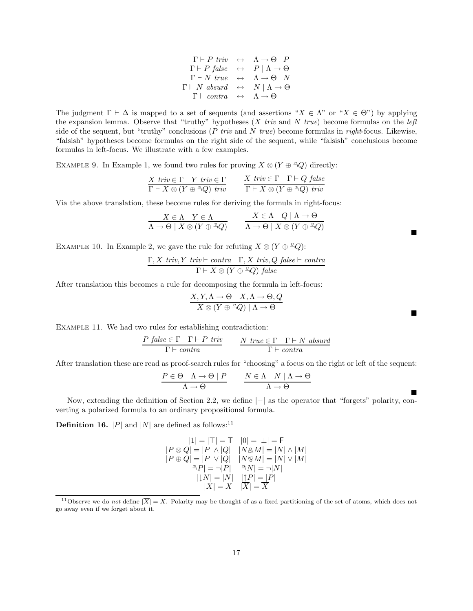$$
\Gamma \vdash P \; \textit{triv} \quad \leftrightarrow \quad \Lambda \to \Theta \mid P \n\Gamma \vdash P \; \textit{false} \quad \leftrightarrow \quad P \mid \Lambda \to \Theta \n\Gamma \vdash N \; \textit{true} \quad \leftrightarrow \quad \Lambda \to \Theta \mid N \n\Gamma \vdash N \; \textit{absurd} \quad \leftrightarrow \quad N \mid \Lambda \to \Theta \n\Gamma \vdash \textit{contra} \quad \leftrightarrow \quad \Lambda \to \Theta
$$

The judgment  $\Gamma \vdash \Delta$  is mapped to a set of sequents (and assertions " $X \in \Lambda$ " or " $\overline{X} \in \Theta$ ") by applying the expansion lemma. Observe that "truthy" hypotheses  $(X \text{ triv and } N \text{ true})$  become formulas on the left side of the sequent, but "truthy" conclusions ( $P$  triv and  $N$  true) become formulas in right-focus. Likewise, "falsish" hypotheses become formulas on the right side of the sequent, while "falsish" conclusions become formulas in left-focus. We illustrate with a few examples.

EXAMPLE 9. In Example 1, we found two rules for proving  $X \otimes (Y \oplus \overset{v}{\rightarrow} Q)$  directly:

$$
\frac{X \text{ } triv \in \Gamma \quad Y \text{ } triv \in \Gamma}{\Gamma \vdash X \otimes (Y \oplus \sqrt[x]{Q}) \text{ } triv} \qquad \frac{X \text{ } triv \in \Gamma \quad \Gamma \vdash Q \text{ } false}{\Gamma \vdash X \otimes (Y \oplus \sqrt[x]{Q}) \text{ } triv}
$$

Via the above translation, these become rules for deriving the formula in right-focus:

$$
\frac{X \in \Lambda \quad Y \in \Lambda}{\Lambda \to \Theta \mid X \otimes (Y \oplus \frac{v}{\Lambda Q})} \qquad \frac{X \in \Lambda \quad Q \mid \Lambda \to \Theta}{\Lambda \to \Theta \mid X \otimes (Y \oplus \frac{v}{\Lambda Q})}
$$

EXAMPLE 10. In Example 2, we gave the rule for refuting  $X \otimes (Y \oplus \alpha^2 Q)$ :

$$
\frac{\Gamma, X \text{ triv}, Y \text{ triv} \vdash \text{contra} \quad \Gamma, X \text{ triv}, Q \text{ false} \vdash \text{contra}}{\Gamma \vdash X \otimes (Y \oplus \sqrt[x]{Q}) \text{ false}}
$$

After translation this becomes a rule for decomposing the formula in left-focus:

$$
\frac{X,Y,\Lambda \to \Theta \quad X,\Lambda \to \Theta, Q}{X \otimes (Y \oplus \sqrt[\infty]{Q}) \mid \Lambda \to \Theta}
$$

Example 11. We had two rules for establishing contradiction:

$$
\frac{P \; \mathit{false} \in \Gamma \quad \Gamma \vdash P \; \mathit{triv}}{\Gamma \vdash \mathit{contra}} \qquad \frac{N \; \mathit{true} \in \Gamma \quad \Gamma \vdash N \; \mathit{absurd}}{\Gamma \vdash \mathit{contra}}
$$

After translation these are read as proof-search rules for "choosing" a focus on the right or left of the sequent:

$$
\frac{P \in \Theta \quad \Lambda \to \Theta \mid P}{\Lambda \to \Theta} \qquad \frac{N \in \Lambda \quad N \mid \Lambda \to \Theta}{\Lambda \to \Theta}
$$

Now, extending the definition of Section 2.2, we define |−| as the operator that "forgets" polarity, converting a polarized formula to an ordinary propositional formula.

**Definition 16.** |P| and |N| are defined as follows:<sup>11</sup>

$$
\begin{array}{c} |1| = |\top| = \mathsf{T} \quad |0| = |\bot| = \mathsf{F} \\ |P \otimes Q| = |P| \wedge |Q| \quad |N \otimes M| = |N| \wedge |M| \\ |P \oplus Q| = |P| \vee |Q| \quad |N \otimes M| = |N| \vee |M| \\ |\mathbf{``P}| = \neg |P| \quad |^{\mathbf{''}}N| = \neg |N| \\ |\hspace{-.05cm}|\mathbf{``N]} = |N| \quad |\hspace{-.05cm}|\mathbf{``N'}| = |P| \\ |\hspace{-.05cm}|\mathbf{``N]} = X \quad |\overline{\mathbf{''}}| = \overline{X} \\ \end{array}
$$

<sup>&</sup>lt;sup>11</sup>Observe we do not define  $|\overline{X}| = X$ . Polarity may be thought of as a fixed partitioning of the set of atoms, which does not go away even if we forget about it.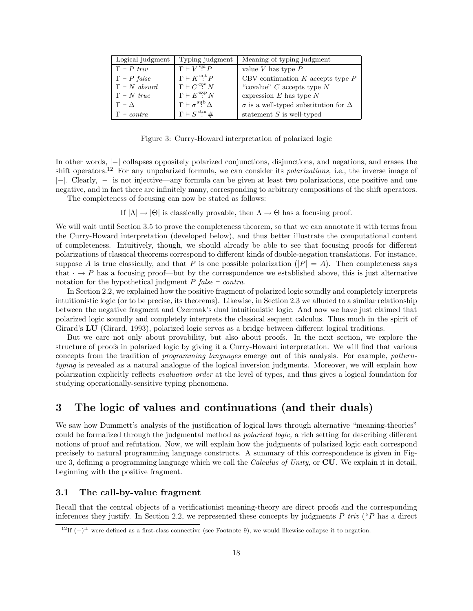| Logical judgment              | Typing judgment                             | Meaning of typing judgment                         |
|-------------------------------|---------------------------------------------|----------------------------------------------------|
| $\Gamma \vdash P$ triv        | $\Gamma \vdash V$ <sup>val</sup> $P$        | value $V$ has type $P$                             |
| $\Gamma \vdash P$ false       | $\Gamma \vdash K^{\mathrm{cnt}} P$          | CBV continuation $K$ accepts type $P$              |
| $\Gamma \vdash N$ absurd      | $\Gamma \vdash C\overset{\mathrm{cov}}{.}N$ | "covalue" $C$ accepts type $N$                     |
| $\Gamma \vdash N$ true        | $\Gamma \vdash E \overset{\exp}{:} N$       | expression $E$ has type $N$                        |
| $\Gamma \vdash \Delta$        | $\Gamma \vdash \sigma^{\text{sub}} \Delta$  | $\sigma$ is a well-typed substitution for $\Delta$ |
| $\Gamma \vdash \text{contra}$ | $\Gamma \vdash S^{\text{stm}} \#$           | statement $S$ is well-typed                        |

Figure 3: Curry-Howard interpretation of polarized logic

In other words, |−| collapses oppositely polarized conjunctions, disjunctions, and negations, and erases the shift operators.<sup>12</sup> For any unpolarized formula, we can consider its *polarizations*, i.e., the inverse image of |−|. Clearly, |−| is not injective—any formula can be given at least two polarizations, one positive and one negative, and in fact there are infinitely many, corresponding to arbitrary compositions of the shift operators. The completeness of focusing can now be stated as follows:

If  $|\Lambda| \to |\Theta|$  is classically provable, then  $\Lambda \to \Theta$  has a focusing proof.

We will wait until Section 3.5 to prove the completeness theorem, so that we can annotate it with terms from the Curry-Howard interpretation (developed below), and thus better illustrate the computational content of completeness. Intuitively, though, we should already be able to see that focusing proofs for different polarizations of classical theorems correspond to different kinds of double-negation translations. For instance, suppose A is true classically, and that P is one possible polarization  $(|P| = A)$ . Then completeness says that  $\cdot \rightarrow P$  has a focusing proof—but by the correspondence we established above, this is just alternative notation for the hypothetical judgment P false  $\vdash$  contra.

In Section 2.2, we explained how the positive fragment of polarized logic soundly and completely interprets intuitionistic logic (or to be precise, its theorems). Likewise, in Section 2.3 we alluded to a similar relationship between the negative fragment and Czermak's dual intuitionistic logic. And now we have just claimed that polarized logic soundly and completely interprets the classical sequent calculus. Thus much in the spirit of Girard's LU (Girard, 1993), polarized logic serves as a bridge between different logical traditions.

But we care not only about provability, but also about proofs. In the next section, we explore the structure of proofs in polarized logic by giving it a Curry-Howard interpretation. We will find that various concepts from the tradition of programming languages emerge out of this analysis. For example, patterntyping is revealed as a natural analogue of the logical inversion judgments. Moreover, we will explain how polarization explicitly reflects evaluation order at the level of types, and thus gives a logical foundation for studying operationally-sensitive typing phenomena.

# 3 The logic of values and continuations (and their duals)

We saw how Dummett's analysis of the justification of logical laws through alternative "meaning-theories" could be formalized through the judgmental method as polarized logic, a rich setting for describing different notions of proof and refutation. Now, we will explain how the judgments of polarized logic each correspond precisely to natural programming language constructs. A summary of this correspondence is given in Figure 3, defining a programming language which we call the *Calculus of Unity*, or **CU**. We explain it in detail, beginning with the positive fragment.

# 3.1 The call-by-value fragment

Recall that the central objects of a verificationist meaning-theory are direct proofs and the corresponding inferences they justify. In Section 2.2, we represented these concepts by judgments  $P$  triv ("P has a direct

<sup>&</sup>lt;sup>12</sup>If  $(-)$ <sup>⊥</sup> were defined as a first-class connective (see Footnote 9), we would likewise collapse it to negation.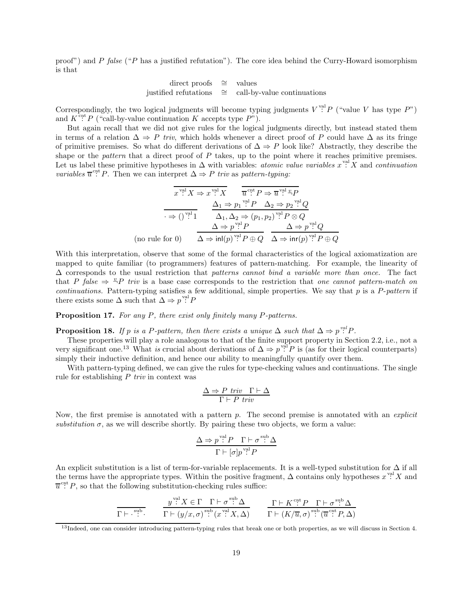proof") and P false ("P has a justified refutation"). The core idea behind the Curry-Howard isomorphism is that

> direct proofs ∼= values justified refutations ∼= call-by-value continuations

Correspondingly, the two logical judgments will become typing judgments  $V^{\text{val}}P$  ("value V has type  $P$ ") and  $K^{\text{ent}} P$  ("call-by-value continuation K accepts type  $P$ ").

But again recall that we did not give rules for the logical judgments directly, but instead stated them in terms of a relation  $\Delta \Rightarrow P$  triv, which holds whenever a direct proof of P could have  $\Delta$  as its fringe of primitive premises. So what do different derivations of  $\Delta \Rightarrow P$  look like? Abstractly, they describe the shape or the *pattern* that a direct proof of  $P$  takes, up to the point where it reaches primitive premises. Let us label these primitive hypotheses in  $\Delta$  with variables: *atomic value variables*  $x^{\text{val}} X$  and *continuation* variables  $\overline{u}^{\text{cnt}}$  P. Then we can interpret  $\Delta \Rightarrow P$  triv as pattern-typing:

$$
\overline{x}^{\text{val}} X \Rightarrow x^{\text{val}} X \qquad \overline{u}^{\text{crit}} P \Rightarrow \overline{u}^{\text{val}} \xrightarrow{p} P
$$
\n
$$
\xrightarrow{\Delta_1 \Rightarrow p_1^{\text{val}} P} \qquad \Delta_2 \Rightarrow p_2^{\text{val}} Q
$$
\n
$$
\xrightarrow{\rightarrow} ()^{\text{val}} \qquad \Delta_1, \Delta_2 \Rightarrow (p_1, p_2)^{\text{val}} P \otimes Q
$$
\n
$$
\Delta \Rightarrow p^{\text{val}} P \qquad \Delta \Rightarrow p^{\text{val}} Q
$$
\n(no rule for 0)

\n
$$
\Delta \Rightarrow \text{inl}(p)^{\text{val}} P \oplus Q \qquad \Delta \Rightarrow \text{inr}(p)^{\text{val}} P \oplus Q
$$

With this interpretation, observe that some of the formal characteristics of the logical axiomatization are mapped to quite familiar (to programmers) features of pattern-matching. For example, the linearity of  $\Delta$  corresponds to the usual restriction that patterns cannot bind a variable more than once. The fact that P false  $\Rightarrow$   $\overset{v}{\rightarrow}$ P triv is a base case corresponds to the restriction that one cannot pattern-match on continuations. Pattern-typing satisfies a few additional, simple properties. We say that  $p$  is a P-pattern if there exists some  $\Delta$  such that  $\Delta \Rightarrow p^{\text{val}} P$ 

Proposition 17. For any P, there exist only finitely many P-patterns.

**Proposition 18.** If p is a P-pattern, then there exists a unique  $\Delta$  such that  $\Delta \Rightarrow p^{\text{val}} P$ .

These properties will play a role analogous to that of the finite support property in Section 2.2, i.e., not a very significant one.<sup>13</sup> What is crucial about derivations of  $\Delta \Rightarrow p^{\text{val}}P$  is (as for their logical counterparts) simply their inductive definition, and hence our ability to meaningfully quantify over them.

With pattern-typing defined, we can give the rules for type-checking values and continuations. The single rule for establishing  $P$  triv in context was

$$
\frac{\Delta \Rightarrow P \text{ triv } \Gamma \vdash \Delta}{\Gamma \vdash P \text{ triv}}
$$

Now, the first premise is annotated with a pattern  $p$ . The second premise is annotated with an *explicit* substitution  $\sigma$ , as we will describe shortly. By pairing these two objects, we form a value:

$$
\frac{\Delta \Rightarrow p^{\text{val}} P \quad \Gamma \vdash \sigma^{\text{sub}} \Delta}{\Gamma \vdash [\sigma] p^{\text{val}} P}
$$

An explicit substitution is a list of term-for-variable replacements. It is a well-typed substitution for  $\Delta$  if all the terms have the appropriate types. Within the positive fragment,  $\Delta$  contains only hypotheses  $x^{\text{val}} X$  and  $\overline{u}^{\text{ent}}$  P, so that the following substitution-checking rules suffice:

$$
\frac{y^{\text{val}}X \in \Gamma \quad \Gamma \vdash \sigma^{\text{sub}}\Delta}{\Gamma \vdash (y/x,\sigma)^{\text{sub}}(x^{\text{val}}X,\Delta)} \qquad \frac{\Gamma \vdash K^{\text{cut}}P \quad \Gamma \vdash \sigma^{\text{sub}}\Delta}{\Gamma \vdash (K/\overline{u},\sigma)^{\text{sub}}(\overline{u^{\text{cut}}};P,\Delta)}
$$

<sup>&</sup>lt;sup>13</sup>Indeed, one can consider introducing pattern-typing rules that break one or both properties, as we will discuss in Section 4.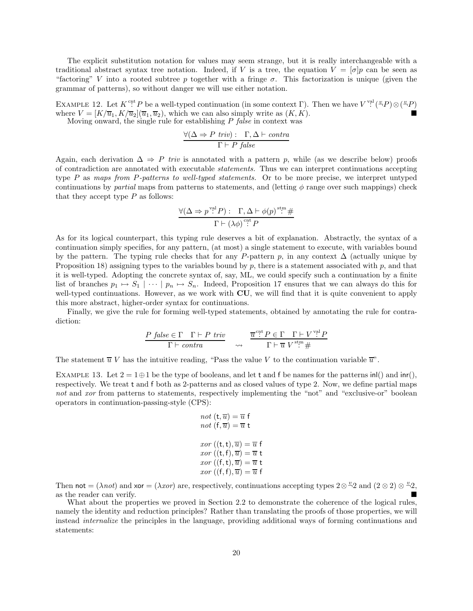The explicit substitution notation for values may seem strange, but it is really interchangeable with a traditional abstract syntax tree notation. Indeed, if V is a tree, the equation  $V = [\sigma]p$  can be seen as "factoring" V into a rooted subtree p together with a fringe  $\sigma$ . This factorization is unique (given the grammar of patterns), so without danger we will use either notation.

EXAMPLE 12. Let  $K^{\text{ent}}P$  be a well-typed continuation (in some context  $\Gamma$ ). Then we have  $V^{\text{val}}({}^{\alpha}P)\otimes({}^{\alpha}P)$ where  $V = [K/\overline{u}_1, K/\overline{u}_2](\overline{u}_1, \overline{u}_2)$ , which we can also simply write as  $(K, K)$ . Moving onward, the single rule for establishing  $P$  false in context was

$$
\frac{\forall (\Delta \Rightarrow P \; \mathit{triv}) : \; \; \Gamma, \Delta \vdash \mathit{contra}}{\Gamma \vdash P \; \mathit{false}}
$$

Again, each derivation  $\Delta \Rightarrow P$  triv is annotated with a pattern p, while (as we describe below) proofs of contradiction are annotated with executable statements. Thus we can interpret continuations accepting type P as maps from P-patterns to well-typed statements. Or to be more precise, we interpret untyped continuations by partial maps from patterns to statements, and (letting  $\phi$  range over such mappings) check that they accept type  $P$  as follows:

$$
\frac{\forall (\Delta \Rightarrow p^{\text{val}} P) : \Gamma, \Delta \vdash \phi(p)^{\text{stm}} \#}{\Gamma \vdash (\lambda \phi)^{\text{crit}} P}
$$

As for its logical counterpart, this typing rule deserves a bit of explanation. Abstractly, the syntax of a continuation simply specifies, for any pattern, (at most) a single statement to execute, with variables bound by the pattern. The typing rule checks that for any P-pattern p, in any context  $\Delta$  (actually unique by Proposition 18) assigning types to the variables bound by  $p$ , there is a statement associated with  $p$ , and that it is well-typed. Adopting the concrete syntax of, say, ML, we could specify such a continuation by a finite list of branches  $p_1 \mapsto S_1 \mid \cdots \mid p_n \mapsto S_n$ . Indeed, Proposition 17 ensures that we can always do this for well-typed continuations. However, as we work with CU, we will find that it is quite convenient to apply this more abstract, higher-order syntax for continuations.

Finally, we give the rule for forming well-typed statements, obtained by annotating the rule for contradiction:

$$
\frac{P \ \ \text{false} \in \Gamma \quad \Gamma \vdash P \ \ \text{triv}}{\Gamma \vdash \ \text{contra}} \quad \leadsto \quad \frac{\overline{u}^{\text{cnt}} P \in \Gamma \quad \Gamma \vdash V^{\text{val}} P}{\Gamma \vdash \overline{u} \ V^{\text{stm}} \#}
$$

The statement  $\overline{u} V$  has the intuitive reading, "Pass the value V to the continuation variable  $\overline{u}$ ".

EXAMPLE 13. Let  $2 = 1 \oplus 1$  be the type of booleans, and let t and f be names for the patterns inl() and inr(), respectively. We treat t and f both as 2-patterns and as closed values of type 2. Now, we define partial maps not and xor from patterns to statements, respectively implementing the "not" and "exclusive-or" boolean operators in continuation-passing-style (CPS):

$$
not \ (\mathfrak{t}, \overline{u}) = \overline{u} \ \mathfrak{f}
$$

$$
not \ (\mathfrak{f}, \overline{u}) = \overline{u} \ \mathfrak{t}
$$

$$
xor \ ((\mathfrak{t}, \mathfrak{t}), \overline{u}) = \overline{u} \ \mathfrak{f}
$$

$$
xor \ ((\mathfrak{t}, \mathfrak{f}), \overline{u}) = \overline{u} \ \mathfrak{t}
$$

$$
xor \ ((\mathfrak{f}, \mathfrak{t}), \overline{u}) = \overline{u} \ \mathfrak{t}
$$

$$
xor \ ((\mathfrak{f}, \mathfrak{f}), \overline{u}) = \overline{u} \ \mathfrak{f}
$$

Then not =  $(\lambda not)$  and xor =  $(\lambda xor)$  are, respectively, continuations accepting types  $2 \otimes \frac{\omega_2}{2}$  and  $(2 \otimes 2) \otimes \frac{\omega_2}{2}$ . as the reader can verify.

What about the properties we proved in Section 2.2 to demonstrate the coherence of the logical rules, namely the identity and reduction principles? Rather than translating the proofs of those properties, we will instead internalize the principles in the language, providing additional ways of forming continuations and statements: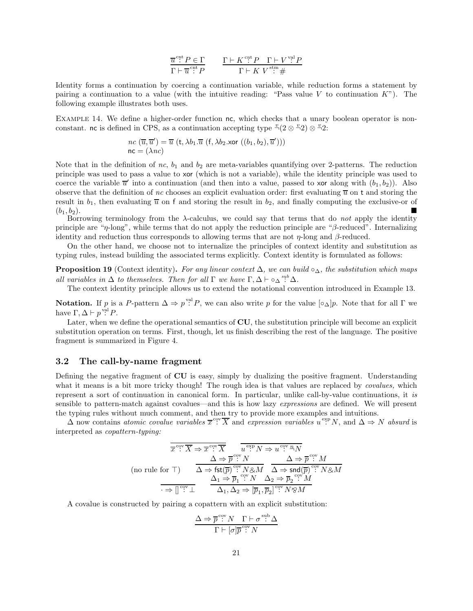$$
\frac{\overline{u}^{\text{cnt}} P \in \Gamma}{\Gamma \vdash \overline{u}^{\text{cnt}}. P} \qquad \frac{\Gamma \vdash K^{\text{cnt}}. P \quad \Gamma \vdash V^{\text{val}}. P}{\Gamma \vdash K \ V^{\text{st}}. H}
$$

Identity forms a continuation by coercing a continuation variable, while reduction forms a statement by pairing a continuation to a value (with the intuitive reading: "Pass value  $V$  to continuation  $K$ "). The following example illustrates both uses.

EXAMPLE 14. We define a higher-order function nc, which checks that a unary boolean operator is nonconstant. no is defined in CPS, as a continuation accepting type  $\frac{v}{2}(2 \otimes \frac{v}{2}) \otimes \frac{v}{2}$ .

$$
nc(\overline{u}, \overline{u}') = \overline{u} (t, \lambda b_1. \overline{u} (f, \lambda b_2. \text{xor } ((b_1, b_2), \overline{u}')))
$$
  
nc = (\lambda nc)

Note that in the definition of nc,  $b_1$  and  $b_2$  are meta-variables quantifying over 2-patterns. The reduction principle was used to pass a value to xor (which is not a variable), while the identity principle was used to coerce the variable  $\overline{u}'$  into a continuation (and then into a value, passed to xor along with  $(b_1, b_2)$ ). Also observe that the definition of nc chooses an explicit evaluation order: first evaluating  $\overline{u}$  on t and storing the result in  $b_1$ , then evaluating  $\overline{u}$  on f and storing the result in  $b_2$ , and finally computing the exclusive-or of  $(b_1, b_2).$ 

Borrowing terminology from the  $\lambda$ -calculus, we could say that terms that do not apply the identity principle are " $\eta$ -long", while terms that do not apply the reduction principle are " $\beta$ -reduced". Internalizing identity and reduction thus corresponds to allowing terms that are not  $\eta$ -long and  $\beta$ -reduced.

On the other hand, we choose not to internalize the principles of context identity and substitution as typing rules, instead building the associated terms explicitly. Context identity is formulated as follows:

**Proposition 19** (Context identity). For any linear context  $\Delta$ , we can build ∘ $\Delta$ , the substitution which maps all variables in  $\Delta$  to themselves. Then for all  $\Gamma$  we have  $\Gamma, \Delta \vdash \circ_{\Delta}^{sub} \Delta$ .

The context identity principle allows us to extend the notational convention introduced in Example 13.

**Notation.** If p is a P-pattern  $\Delta \Rightarrow p^{\text{val}} P$ , we can also write p for the value  $\lbrack \circ_{\Delta} \rbrack p$ . Note that for all  $\Gamma$  we have  $\Gamma, \Delta \vdash p^{\text{val}} P$ .

Later, when we define the operational semantics of CU, the substitution principle will become an explicit substitution operation on terms. First, though, let us finish describing the rest of the language. The positive fragment is summarized in Figure 4.

### 3.2 The call-by-name fragment

Defining the negative fragment of CU is easy, simply by dualizing the positive fragment. Understanding what it means is a bit more tricky though! The rough idea is that values are replaced by *covalues*, which represent a sort of continuation in canonical form. In particular, unlike call-by-value continuations, it is sensible to pattern-match against covalues—and this is how lazy *expressions* are defined. We will present the typing rules without much comment, and then try to provide more examples and intuitions.

 $\Delta$  now contains atomic covalue variables  $\overline{x}^{\text{cov}}\overline{X}$  and expression variables  $u^{\text{exp}}N$ , and  $\Delta \Rightarrow N$  absurd is interpreted as copattern-typing:

$$
\frac{\overline{x}^{\text{cyc}}\overline{X} \Rightarrow \overline{x}^{\text{cyc}}\overline{X}}{\Delta \Rightarrow \overline{p}^{\text{cyc}}N} \xrightarrow{\overline{u}^{\text{exp}}N \Rightarrow u^{\text{cyc}}\overline{n}_N}
$$
\n(no rule for T)\n
$$
\frac{\Delta \Rightarrow \overline{p}^{\text{cyc}}N}{\Delta \Rightarrow \text{fst}(\overline{p})^{\text{cyc}}N \otimes M} \xrightarrow{\Delta \Rightarrow \text{snd}(\overline{p})^{\text{cyc}}N \otimes M}
$$
\n
$$
\frac{\Delta_1 \Rightarrow \overline{p}_1^{\text{cyc}}N \Delta_2 \Rightarrow \overline{p}_2^{\text{cyc}}M}{\Delta_1, \Delta_2 \Rightarrow [\overline{p}_1, \overline{p}_2]^{\text{cyc}}N \otimes M}
$$

A covalue is constructed by pairing a copattern with an explicit substitution:

$$
\frac{\Delta \Rightarrow \overline{p}^{\text{cov}} N \quad \Gamma \vdash \sigma^{\text{sub}} \Delta}{\Gamma \vdash [\sigma] \overline{p}^{\text{cov}} N}
$$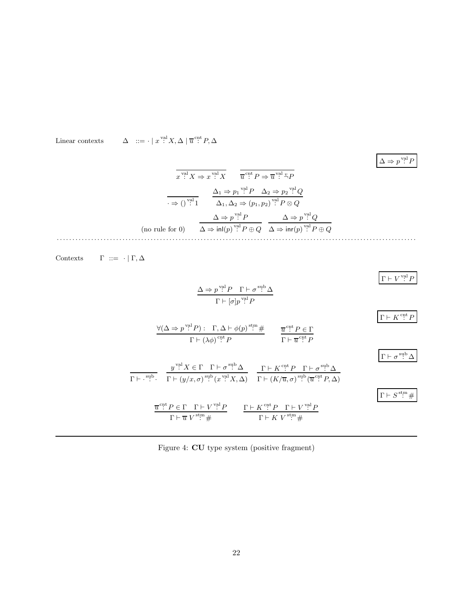$\it Linear$  contexts  $\overline{\mathcal{C}}^{\text{val}}$   $X, \Delta \mid \overline{u}^{\text{cnt}} P, \Delta$ 

$$
\Delta \Rightarrow p^{\text{val}} P
$$

$$
\overline{x}^{\text{val}} X \Rightarrow x^{\text{val}} X \qquad \overline{u}^{\text{crt}} P \Rightarrow \overline{u}^{\text{val}} \xrightarrow{\omega} P
$$
\n
$$
\overline{u}^{\text{crt}} \Rightarrow p_1^{\text{val}} P \qquad \Delta_2 \Rightarrow p_2^{\text{val}} Q
$$
\n
$$
\overline{u}^{\text{val}} \qquad \Delta_1, \Delta_2 \Rightarrow (p_1, p_2)^{\text{val}} P \otimes Q
$$
\n
$$
\Delta \Rightarrow p^{\text{val}} P \qquad \Delta \Rightarrow p^{\text{val}} Q
$$
\n(no rule for 0)

\n
$$
\Delta \Rightarrow \text{in}(p)^{\text{val}} P \oplus Q \qquad \Delta \Rightarrow \text{in}(p)^{\text{val}} P \oplus Q
$$

 $\label{eq:contexts} \text{Contexts} \qquad \Gamma \ ::= \ \cdot \ | \ \Gamma, \Delta$ 

$$
\frac{\Delta \Rightarrow p^{\text{val}} P \quad \Gamma \vdash \sigma^{\text{sub}} \Delta}{\Gamma \vdash [\sigma] p^{\text{val}} P}
$$
\n
$$
\frac{\forall (\Delta \Rightarrow p^{\text{val}} P) : \Gamma, \Delta \vdash \phi(p)^{\text{stm}} \#}{\Gamma \vdash (\lambda \phi)^{\text{ctr}} P} \qquad \frac{\overline{u}^{\text{cnt}} P \in \Gamma}{\Gamma \vdash \overline{u}^{\text{cnt}} P}
$$
\n
$$
\frac{y^{\text{val}} X \in \Gamma \quad \Gamma \vdash \sigma^{\text{sub}} \Delta}{\Gamma \vdash (\overline{y}/x, \sigma)^{\text{sub}} (x^{\text{val}} X, \Delta)} \qquad \frac{\Gamma \vdash K^{\text{cnt}} P \quad \Gamma \vdash \sigma^{\text{sub}} \Delta}{\Gamma \vdash (K/\overline{u}, \sigma)^{\text{sub}} (\overline{u}^{\text{cnt}} P, \Delta)}
$$
\n
$$
\frac{\overline{u}^{\text{cut}} P \in \Gamma \quad \Gamma \vdash \sigma^{\text{sub}} \Delta}{\Gamma \vdash \overline{u}^{\text{cut}} P \in \Gamma \quad \Gamma \vdash V^{\text{val}} P} \qquad \frac{\Gamma \vdash K^{\text{cut}} P \quad \Gamma \vdash U^{\text{val}} P}{\Gamma \vdash \overline{u}^{\text{cut}} P \in \Gamma \quad \Gamma \vdash V^{\text{val}} P} \qquad \frac{\Gamma \vdash K^{\text{cut}} P \quad \Gamma \vdash V^{\text{val}} P}{\Gamma \vdash K V^{\text{str}} \#} \qquad \frac{\Gamma \vdash K^{\text{ctr}} P \quad \Gamma \vdash V^{\text{val}} P}{\Gamma \vdash K V^{\text{stm}} \#}
$$

Figure 4: CU type system (positive fragment)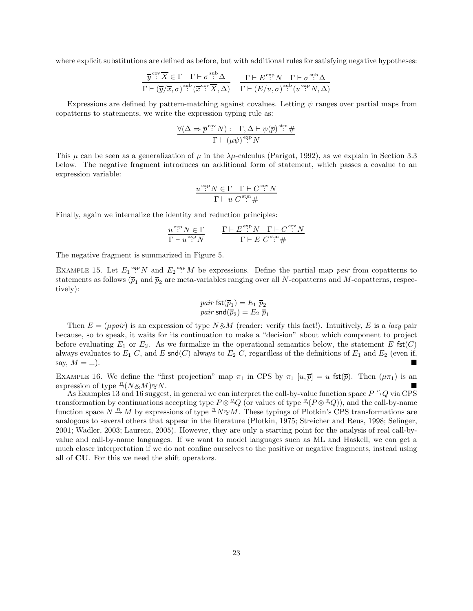where explicit substitutions are defined as before, but with additional rules for satisfying negative hypotheses:

$$
\frac{\overline{y}^{\text{cyc}}\overline{X} \in \Gamma \quad \Gamma \vdash \sigma^{\text{sub}}\Delta}{\Gamma \vdash (\overline{y}/\overline{x}, \sigma)^{\text{sub}}(\overline{x}^{\text{cyc}}\overline{X}, \Delta)} \quad \frac{\Gamma \vdash E^{\text{exp}}N \quad \Gamma \vdash \sigma^{\text{sup}}\Delta}{\Gamma \vdash (E/u, \sigma)^{\text{sub}}(u^{\text{exp}}N, \Delta)}
$$

Expressions are defined by pattern-matching against covalues. Letting  $\psi$  ranges over partial maps from copatterns to statements, we write the expression typing rule as:

$$
\frac{\forall (\Delta \Rightarrow \overline{p}^{\text{ cov}} N) : \Gamma, \Delta \vdash \psi(\overline{p})^{\text{stm}} \#}{\Gamma \vdash (\mu \psi)^{\text{exp}} N}
$$

This  $\mu$  can be seen as a generalization of  $\mu$  in the  $\lambda\mu$ -calculus (Parigot, 1992), as we explain in Section 3.3 below. The negative fragment introduces an additional form of statement, which passes a covalue to an expression variable:

$$
\frac{u \stackrel{\exp}{:} N \in \Gamma \quad \Gamma \vdash C \stackrel{\text{cov}}{:} N}{\Gamma \vdash u \ C^{\text{sm}} \mathop{\#}
$$

Finally, again we internalize the identity and reduction principles:

$$
\frac{u^{\exp}N \in \Gamma}{\Gamma \vdash u^{\exp}N} \qquad \frac{\Gamma \vdash E^{\exp}N \quad \Gamma \vdash C^{\exp}N}{\Gamma \vdash E \ C^{\sin} \#}
$$

The negative fragment is summarized in Figure 5.

EXAMPLE 15. Let  $E_1 \stackrel{\text{exp}}{=} N$  and  $E_2 \stackrel{\text{exp}}{=} M$  be expressions. Define the partial map pair from copatterns to statements as follows  $(\bar{p}_1 \text{ and } \bar{p}_2 \text{ are meta-variables ranging over all } N\text{-copatterns and } M\text{-copatterns, respectively})$ tively):

$$
\begin{array}{c} pair \; \mathsf{fst}(\overline{p}_1) = E_1 \; \overline{p}_2 \\ pair \; \mathsf{snd}(\overline{p}_2) = E_2 \; \overline{p}_1 \end{array}
$$

Then  $E = (\mu \text{pair})$  is an expression of type  $N \& M$  (reader: verify this fact!). Intuitively, E is a lazy pair because, so to speak, it waits for its continuation to make a "decision" about which component to project before evaluating  $E_1$  or  $E_2$ . As we formalize in the operational semantics below, the statement E fst $(C)$ always evaluates to  $E_1$  C, and E snd(C) always to  $E_2$  C, regardless of the definitions of  $E_1$  and  $E_2$  (even if, say,  $M = \perp$ ).

EXAMPLE 16. We define the "first projection" map  $\pi_1$  in CPS by  $\pi_1$  [u,  $\overline{p}$ ] = u fst( $\overline{p}$ ). Then ( $\mu\pi_1$ ) is an expression of type  $\frac{n}{\gamma}$  $(N \& M) \otimes N$ .

As Examples 13 and 16 suggest, in general we can interpret the call-by-value function space  $P \to Q$  via CPS transformation by continuations accepting type  $P \otimes^{\omega} Q$  (or values of type  $^{\omega}(P \otimes^{\omega} Q)$ ), and the call-by-name function space  $N \stackrel{n}{\rightarrow} M$  by expressions of type  $\stackrel{n}{\rightarrow} N \otimes M$ . These typings of Plotkin's CPS transformations are analogous to several others that appear in the literature (Plotkin, 1975; Streicher and Reus, 1998; Selinger, 2001; Wadler, 2003; Laurent, 2005). However, they are only a starting point for the analysis of real call-byvalue and call-by-name languages. If we want to model languages such as ML and Haskell, we can get a much closer interpretation if we do not confine ourselves to the positive or negative fragments, instead using all of CU. For this we need the shift operators.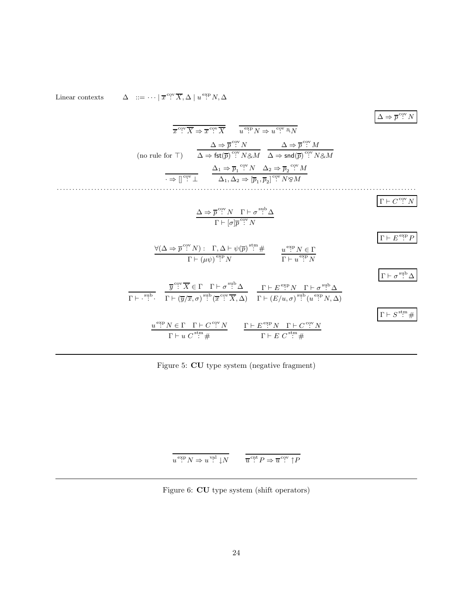Linear contexts  $\Delta := \cdots \mid \overline{x}^{\text{ cov}} \overline{X}, \Delta \mid u^{\text{ exp}} N, \Delta$ 

$$
\frac{\overline{x}^{\text{cyc}}\overline{X} \Rightarrow \overline{x}^{\text{cyc}}\overline{X}}{x^{\text{cyc}}\overline{X}} \quad \overline{u^{\text{cyc}}N \Rightarrow u^{\text{cyc}}\overline{u}_N}
$$
\n
$$
\Delta \Rightarrow \overline{p}^{\text{cyc}}N
$$
\n
$$
\Delta \Rightarrow \overline{p}^{\text{cyc}}M
$$
\n
$$
\Delta \Rightarrow \text{fst}(\overline{p})^{\text{cyc}}N \& M \quad \Delta \Rightarrow \text{snd}(\overline{p})^{\text{cyc}}N \& M
$$
\n
$$
\Rightarrow \overline{p}^{\text{cyc}}M
$$
\n
$$
\Rightarrow \overline{p}^{\text{cyc}}\overline{1}
$$
\n
$$
\Delta_1, \Delta_2 \Rightarrow [\overline{p}_1, \overline{p}_2]^{\text{cyc}}N \& M
$$
\n
$$
\frac{\Delta \Rightarrow \overline{p}^{\text{cyc}}N}{\Gamma \vdash [\sigma]\overline{p}^{\text{cyc}}N}
$$
\n
$$
\frac{\Gamma \vdash \overline{C}^{\text{cyc}}N}{\Gamma \vdash (u\psi)^{\text{cyc}}N}
$$
\n
$$
\frac{\forall (\Delta \Rightarrow \overline{p}^{\text{cyc}}N) : \Gamma, \Delta \vdash \psi(\overline{p})^{\text{st}} \#}{\Gamma \vdash (u\psi)^{\text{cyc}}N}
$$
\n
$$
\frac{\overline{u}^{\text{cyc}}N \leq \Gamma}{\Gamma \vdash u^{\text{cyc}}N}
$$
\n
$$
\frac{\overline{v}^{\text{cyc}}\overline{X} \in \Gamma \Gamma \vdash \sigma^{\text{sub}} \Delta}{\Gamma \vdash (\overline{v}/\overline{x}, \sigma)^{\text{sub}}(\overline{x}^{\text{cyc}}\overline{X}, \Delta)}
$$
\n
$$
\frac{\Gamma \vdash \overline{E}^{\text{exp}}N \Gamma \vdash \sigma^{\text{sup}} \Delta}{\Gamma \vdash (E/u, \sigma)^{\text{sup}}(u^{\text{exp}}N, \Delta)}
$$
\n
$$
\frac{\Gamma \vdash \sigma^{\text{sup}} \Delta}{\Gamma \vdash \sigma^{\text{sup}}N}
$$
\n
$$
\frac{u^{\text{exp}}N \
$$

Figure 5: CU type system (negative fragment)

$$
\overline{u^{\,\rm exp}\,N \Rightarrow u^{\,\rm val}\downarrow\!N} \qquad \overline{\overline{u}^{\,\rm cut}\,P \Rightarrow \overline{u}^{\,\rm cov}\uparrow\!P}
$$

Figure 6: CU type system (shift operators)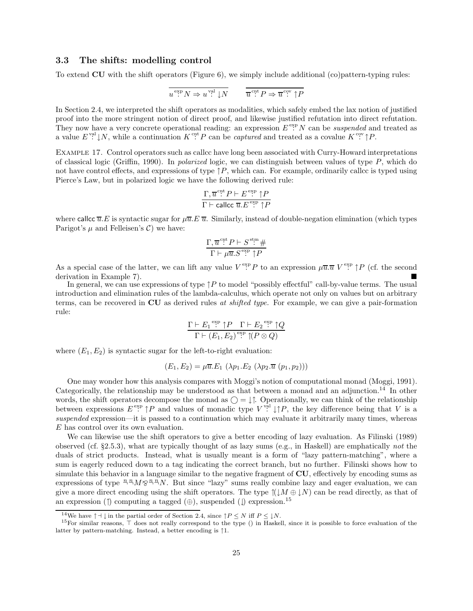### 3.3 The shifts: modelling control

To extend CU with the shift operators (Figure 6), we simply include additional (co)pattern-typing rules:

$$
u \stackrel{\text{exp}}{::} N \Rightarrow u \stackrel{\text{val}}{::} N \qquad \overline{u} \stackrel{\text{cut}}{::} P \Rightarrow \overline{u} \stackrel{\text{cov}}{::} \uparrow P
$$

In Section 2.4, we interpreted the shift operators as modalities, which safely embed the lax notion of justified proof into the more stringent notion of direct proof, and likewise justified refutation into direct refutation. They now have a very concrete operational reading: an expression  $E^{\text{exp}} N$  can be *suspended* and treated as a value  $E^{\text{val}}\downarrow N$ , while a continuation  $K^{\text{ent}}P$  can be *captured* and treated as a covalue  $K^{\text{cv}}\uparrow P$ .

Example 17. Control operators such as callcc have long been associated with Curry-Howard interpretations of classical logic (Griffin, 1990). In *polarized* logic, we can distinguish between values of type  $P$ , which do not have control effects, and expressions of type  $\uparrow P$ , which can. For example, ordinarily callcc is typed using Pierce's Law, but in polarized logic we have the following derived rule:

$$
\frac{\Gamma, \overline{u}^{\,\rm{cnt}}\,P\vdash E^{\,\rm{exp}}\uparrow P}{\Gamma\vdash \mathsf{called}\, \overline{u}.E^{\,\rm{exp}}\uparrow P}
$$

where callce  $\overline{u}E$  is syntactic sugar for  $\mu\overline{u}E\overline{u}$ . Similarly, instead of double-negation elimination (which types Parigot's  $\mu$  and Felleisen's C we have:

$$
\frac{\Gamma, \overline{u}^{\mathrm{cnt}} P \vdash S^{\mathrm{stm}} \#}{\Gamma \vdash \mu \overline{u}.S^{\mathrm{exp}} \uparrow P}
$$

As a special case of the latter, we can lift any value  $V^{\text{exp}}P$  to an expression  $\mu\overline{u}.\overline{u}$   $V^{\text{exp}}P$  (cf. the second derivation in Example 7).

In general, we can use expressions of type  $\uparrow P$  to model "possibly effectful" call-by-value terms. The usual introduction and elimination rules of the lambda-calculus, which operate not only on values but on arbitrary terms, can be recovered in CU as derived rules at shifted type. For example, we can give a pair-formation rule:

$$
\frac{\Gamma \vdash E_1 \overset{\text{exp}}{\cdot} \uparrow P \quad \Gamma \vdash E_2 \overset{\text{exp}}{\cdot} \uparrow Q}{\Gamma \vdash (E_1, E_2) \overset{\text{exp}}{\cdot} \uparrow (P \otimes Q)}
$$

where  $(E_1, E_2)$  is syntactic sugar for the left-to-right evaluation:

$$
(E_1, E_2) = \mu \overline{u} E_1 \left( \lambda p_1 E_2 \left( \lambda p_2 \overline{u} \left( p_1, p_2 \right) \right) \right)
$$

One may wonder how this analysis compares with Moggi's notion of computational monad (Moggi, 1991). Categorically, the relationship may be understood as that between a monad and an adjunction.<sup>14</sup> In other words, the shift operators decompose the monad as  $\bigcirc = \downarrow \uparrow$ . Operationally, we can think of the relationship between expressions  $E^{\text{exp}}$   $\uparrow P$  and values of monadic type  $V^{\text{val}}$   $\downarrow \uparrow P$ , the key difference being that V is a suspended expression—it is passed to a continuation which may evaluate it arbitrarily many times, whereas E has control over its own evaluation.

We can likewise use the shift operators to give a better encoding of lazy evaluation. As Filinski (1989) observed (cf. §2.5.3), what are typically thought of as lazy sums (e.g., in Haskell) are emphatically not the duals of strict products. Instead, what is usually meant is a form of "lazy pattern-matching", where a sum is eagerly reduced down to a tag indicating the correct branch, but no further. Filinski shows how to simulate this behavior in a language similar to the negative fragment of CU, effectively by encoding sums as expressions of type  $\frac{n}{2}M\otimes\frac{n}{2}N$ . But since "lazy" sums really combine lazy and eager evaluation, we can give a more direct encoding using the shift operators. The type  $(\downarrow M \oplus \downarrow N)$  can be read directly, as that of an expression (†) computing a tagged  $(\oplus)$ , suspended ( $\downarrow$ ) expression.<sup>15</sup>

<sup>&</sup>lt;sup>14</sup>We have  $\uparrow \dashv \downarrow$  in the partial order of Section 2.4, since  $\uparrow P \leq N$  iff  $P \leq \downarrow N$ .

<sup>15</sup>For similar reasons, ⊤ does not really correspond to the type () in Haskell, since it is possible to force evaluation of the latter by pattern-matching. Instead, a better encoding is ↑1.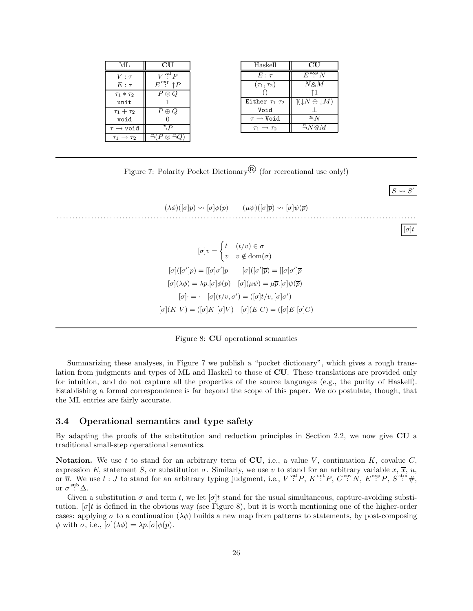| ML                   | CU                             |
|----------------------|--------------------------------|
| $V:\tau$             | $\overline{\text{val}}$ $p$    |
| $E:\tau$             | $\dot{\mathbf{e}}$<br>↑P<br>E  |
| $\tau_1 * \tau_2$    | $P\otimes Q$                   |
| unit                 |                                |
| $\tau_1+\tau_2$      | $P \oplus Q$                   |
| void                 |                                |
| $\rightarrow$ void   | $\frac{v}{\neg}P$              |
| $\rightarrow \tau_2$ | $\frac{v}{-}$<br>$\frac{v}{-}$ |

| Haskell                  | CU                                             |
|--------------------------|------------------------------------------------|
| $E:\tau$                 | $E^{\rm exp} N$                                |
| $(\tau_1,\tau_2)$        | $N$ & $M$                                      |
|                          | ↑1                                             |
| Either $\tau_1$ $\tau_2$ | $\mathcal{U} \downarrow N \oplus \downarrow M$ |
| Void                     |                                                |
| $\tau\to$ Void           | $\frac{n}{N}$                                  |
| $\rightarrow$ $\tau_2$   | $N \otimes M$                                  |
|                          |                                                |

 $S \leadsto S$ ′

Figure 7: Polarity Pocket Dictionary<sup><sup>®</sup> (for recreational use only!)</sup>

| $(\lambda \phi)(\lbrack \sigma \rbrack p) \rightsquigarrow \lbrack \sigma \rbrack \phi(p) \qquad (\mu \psi)(\lbrack \sigma \rbrack \overline{p}) \rightsquigarrow \lbrack \sigma \rbrack \psi(\overline{p})$ |            |
|--------------------------------------------------------------------------------------------------------------------------------------------------------------------------------------------------------------|------------|
|                                                                                                                                                                                                              | $ \sigma $ |
| $[\sigma]v = \begin{cases} t & (t/v) \in \sigma \\ v & v \notin \text{dom}(\sigma) \end{cases}$                                                                                                              |            |
| $[\sigma]([\sigma']p) = [[\sigma]\sigma']p$ $[\sigma]([\sigma']\overline{p}) = [[\sigma]\sigma']\overline{p}$                                                                                                |            |
| $[\sigma](\lambda \phi) = \lambda p. [\sigma] \phi(p)$ $[\sigma](\mu \psi) = \mu \overline{p}. [\sigma] \psi(\overline{p})$                                                                                  |            |
| $[\sigma] \cdot = \cdot$ $[\sigma](t/v, \sigma') = ([\sigma]t/v, [\sigma] \sigma')$                                                                                                                          |            |
| $[\sigma](K V) = ([\sigma] K [\sigma] V) \quad [\sigma](E C) = ([\sigma] E [\sigma] C)$                                                                                                                      |            |
|                                                                                                                                                                                                              |            |

Figure 8: CU operational semantics

Summarizing these analyses, in Figure 7 we publish a "pocket dictionary", which gives a rough translation from judgments and types of ML and Haskell to those of CU. These translations are provided only for intuition, and do not capture all the properties of the source languages (e.g., the purity of Haskell). Establishing a formal correspondence is far beyond the scope of this paper. We do postulate, though, that the ML entries are fairly accurate.

### 3.4 Operational semantics and type safety

By adapting the proofs of the substitution and reduction principles in Section 2.2, we now give CU a traditional small-step operational semantics.

Notation. We use t to stand for an arbitrary term of CU, i.e., a value V, continuation  $K$ , covalue  $C$ , expression E, statement S, or substitution  $\sigma$ . Similarly, we use v to stand for an arbitrary variable x,  $\overline{x}$ , u, or  $\overline{u}$ . We use  $t : J$  to stand for an arbitrary typing judgment, i.e.,  $V^{\text{val}} P$ ,  $K^{\text{cnt}} P$ ,  $C^{\text{cov}} N$ ,  $E^{\text{exp}} P$ ,  $S^{\text{stm}} \#$ , or  $\sigma$ <sup>sub</sup>  $\Delta$ .

Given a substitution  $\sigma$  and term t, we let  $[\sigma]$ t stand for the usual simultaneous, capture-avoiding substitution.  $\sigma$ t is defined in the obvious way (see Figure 8), but it is worth mentioning one of the higher-order cases: applying  $\sigma$  to a continuation  $(\lambda \phi)$  builds a new map from patterns to statements, by post-composing  $\phi$  with  $\sigma$ , i.e.,  $[\sigma](\lambda \phi) = \lambda p. [\sigma] \phi(p)$ .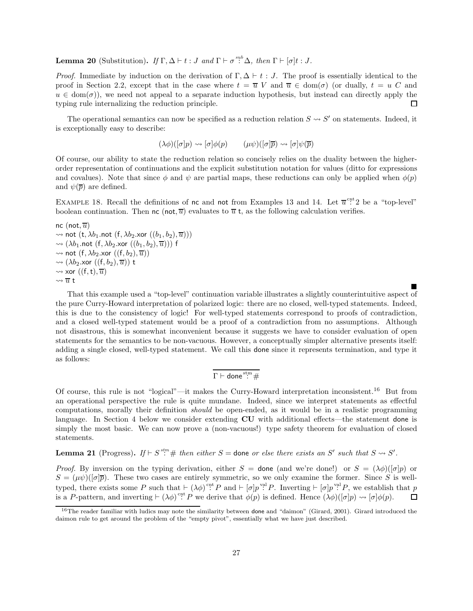**Lemma 20** (Substitution). If  $\Gamma, \Delta \vdash t : J$  and  $\Gamma \vdash \sigma^{sub} \Delta$ , then  $\Gamma \vdash [\sigma]t : J$ .

*Proof.* Immediate by induction on the derivation of  $\Gamma$ ,  $\Delta \vdash t : J$ . The proof is essentially identical to the proof in Section 2.2, except that in the case where  $t = \overline{u} V$  and  $\overline{u} \in \text{dom}(\sigma)$  (or dually,  $t = u C$  and  $u \in \text{dom}(\sigma)$ , we need not appeal to a separate induction hypothesis, but instead can directly apply the typing rule internalizing the reduction principle.  $\Box$ 

The operational semantics can now be specified as a reduction relation  $S \leadsto S'$  on statements. Indeed, it is exceptionally easy to describe:

$$
(\lambda \phi)([\sigma]p) \rightsquigarrow [\sigma] \phi(p) \qquad (\mu \psi)([\sigma]\overline{p}) \rightsquigarrow [\sigma] \psi(\overline{p})
$$

Of course, our ability to state the reduction relation so concisely relies on the duality between the higherorder representation of continuations and the explicit substitution notation for values (ditto for expressions and covalues). Note that since  $\phi$  and  $\psi$  are partial maps, these reductions can only be applied when  $\phi(p)$ and  $\psi(\overline{p})$  are defined.

EXAMPLE 18. Recall the definitions of nc and not from Examples 13 and 14. Let  $\overline{u}^{\text{cnt}}$  2 be a "top-level" boolean continuation. Then  $nc (not, \overline{u})$  evaluates to  $\overline{u}$  t, as the following calculation verifies.

nc (not,  $\overline{u}$ )  $\rightsquigarrow$  not  $(t, \lambda b_1 \text{.} \text{not } (f, \lambda b_2 \text{.} \text{xor } ((b_1, b_2), \overline{u})))$  $\rightsquigarrow (\lambda b_1.\text{not } (f, \lambda b_2.\text{xor } ((b_1, b_2), \overline{u})))$  f  $\rightsquigarrow$  not  $(f, \lambda b_2 \cdot \text{xor } ((f, b_2), \overline{u}))$  $\rightsquigarrow (\lambda b_2.\text{xor } ((f, b_2), \overline{u}))$  t  $\rightsquigarrow$  xor  $((f, t), \overline{u})$  $\leadsto \overline{u}$  t

That this example used a "top-level" continuation variable illustrates a slightly counterintuitive aspect of the pure Curry-Howard interpretation of polarized logic: there are no closed, well-typed statements. Indeed, this is due to the consistency of logic! For well-typed statements correspond to proofs of contradiction, and a closed well-typed statement would be a proof of a contradiction from no assumptions. Although not disastrous, this is somewhat inconvenient because it suggests we have to consider evaluation of open statements for the semantics to be non-vacuous. However, a conceptually simpler alternative presents itself: adding a single closed, well-typed statement. We call this done since it represents termination, and type it as follows:

 $\blacksquare$ 

$$
\Gamma \vdash \mathsf{done}^{\mathsf{\mathop{sim}}}\ \mathsf{\#}
$$

Of course, this rule is not "logical"—it makes the Curry-Howard interpretation inconsistent.<sup>16</sup> But from an operational perspective the rule is quite mundane. Indeed, since we interpret statements as effectful computations, morally their definition should be open-ended, as it would be in a realistic programming language. In Section 4 below we consider extending CU with additional effects—the statement done is simply the most basic. We can now prove a (non-vacuous!) type safety theorem for evaluation of closed statements.

# **Lemma 21** (Progress). If  $\vdash S^{stm}$  # then either S = done or else there exists an S' such that  $S \leadsto S'$ .

*Proof.* By inversion on the typing derivation, either  $S =$  done (and we're done!) or  $S = (\lambda \phi)(\sigma |p)$  or  $S = (\mu \psi)(\sigma \bar{p})$ . These two cases are entirely symmetric, so we only examine the former. Since S is welltyped, there exists some P such that  $\vdash (\lambda \phi)^{\text{cnt}} P$  and  $\vdash [\sigma] p^{\text{val}} P$ . Inverting  $\vdash [\sigma] p^{\text{val}} P$ , we establish that p is a P-pattern, and inverting  $\vdash (\lambda \phi)$ <sup>cnt</sup> P we derive that  $\phi(p)$  is defined. Hence  $(\lambda \phi)([\sigma]p) \leadsto [\sigma] \phi(p)$ .  $\Box$ 

 $16$ The reader familiar with ludics may note the similarity between done and "daimon" (Girard, 2001). Girard introduced the daimon rule to get around the problem of the "empty pivot", essentially what we have just described.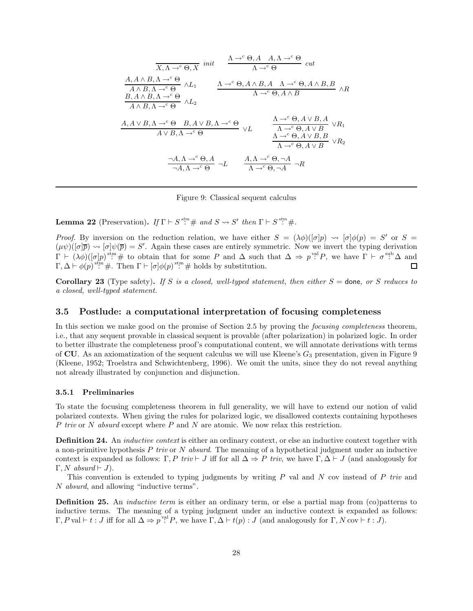$$
\frac{\Lambda \to^c \Theta, A \quad A, \Lambda \to^c \Theta}{\Lambda \to^c \Theta} cut
$$
\n
$$
\frac{A, A \land B, \Lambda \to^c \Theta}{A \land B, \Lambda \to^c \Theta} \land L_1
$$
\n
$$
\frac{\Lambda \to^c \Theta, A \land A, \Lambda \to^c \Theta}{\Lambda \to^c \Theta, A \land B, A \quad \Lambda \to^c \Theta, A \land B, B} \land R
$$
\n
$$
\frac{B, A \land B, \Lambda \to^c \Theta}{A \land B, \Lambda \to^c \Theta} \land L_2
$$
\n
$$
\frac{A, A \lor B, \Lambda \to^c \Theta}{A \lor B, \Lambda \to^c \Theta} \land L_2
$$
\n
$$
\frac{\Lambda \to^c \Theta, A \lor B, A}{\Lambda \to^c \Theta, A \lor B} \lor R_1
$$
\n
$$
\frac{\Lambda \to^c \Theta, A \lor B, A}{\Lambda \to^c \Theta, A \lor B} \lor R_1
$$
\n
$$
\frac{\Lambda \to^c \Theta, A \lor B, A}{\Lambda \to^c \Theta, A \lor B} \lor R_2
$$
\n
$$
\frac{\neg A, \Lambda \to^c \Theta, A}{\neg A, \Lambda \to^c \Theta} \neg L
$$
\n
$$
\frac{A, \Lambda \to^c \Theta, \neg A}{\Lambda \to^c \Theta, \neg A} \neg R
$$

Figure 9: Classical sequent calculus

**Lemma 22** (Preservation). If  $\Gamma \vdash S^{stm} \#$  and  $S \leadsto S'$  then  $\Gamma \vdash S^{stm} \#$ .

*Proof.* By inversion on the reduction relation, we have either  $S = (\lambda \phi)([\sigma]p) \rightsquigarrow [\sigma]\phi(p) = S'$  or  $S =$  $(\mu \psi)([\sigma]\overline{p}) \rightsquigarrow [\sigma]\psi(\overline{p}) = S'.$  Again these cases are entirely symmetric. Now we invert the typing derivation  $\Gamma \vdash (\lambda \phi)([\sigma]p)^{\text{stm}} \#$  to obtain that for some P and  $\Delta$  such that  $\Delta \Rightarrow p^{\text{val}}P$ , we have  $\Gamma \vdash \sigma^{\text{sub}}\Delta$  and  $\Gamma, \Delta \vdash \phi(p) \stackrel{\text{sf}}{::} \#$ . Then  $\Gamma \vdash [\sigma] \phi(p) \stackrel{\text{sf}}{::} \#$  holds by substitution.  $\Box$ 

Corollary 23 (Type safety). If S is a closed, well-typed statement, then either  $S =$  done, or S reduces to a closed, well-typed statement.

### 3.5 Postlude: a computational interpretation of focusing completeness

In this section we make good on the promise of Section 2.5 by proving the *focusing completeness* theorem, i.e., that any sequent provable in classical sequent is provable (after polarization) in polarized logic. In order to better illustrate the completeness proof's computational content, we will annotate derivations with terms of CU. As an axiomatization of the sequent calculus we will use Kleene's  $G_3$  presentation, given in Figure 9 (Kleene, 1952; Troelstra and Schwichtenberg, 1996). We omit the units, since they do not reveal anything not already illustrated by conjunction and disjunction.

#### 3.5.1 Preliminaries

To state the focusing completeness theorem in full generality, we will have to extend our notion of valid polarized contexts. When giving the rules for polarized logic, we disallowed contexts containing hypotheses P triv or N absurd except where P and N are atomic. We now relax this restriction.

**Definition 24.** An *inductive context* is either an ordinary context, or else an inductive context together with a non-primitive hypothesis P triv or N absurd. The meaning of a hypothetical judgment under an inductive context is expanded as follows: Γ, P triv  $\vdash J$  iff for all  $\Delta \Rightarrow P$  triv, we have  $\Gamma, \Delta \vdash J$  (and analogously for  $\Gamma, N$  absurd  $\vdash J$ ).

This convention is extended to typing judgments by writing  $P$  val and  $N$  cov instead of  $P$  triv and N absurd, and allowing "inductive terms".

Definition 25. An inductive term is either an ordinary term, or else a partial map from (co)patterns to inductive terms. The meaning of a typing judgment under an inductive context is expanded as follows:  $\Gamma, P$  val  $\vdash t : J$  iff for all  $\Delta \Rightarrow p^{\text{val}} P$ , we have  $\Gamma, \Delta \vdash t(p) : J$  (and analogously for  $\Gamma, N$  cov  $\vdash t : J$ ).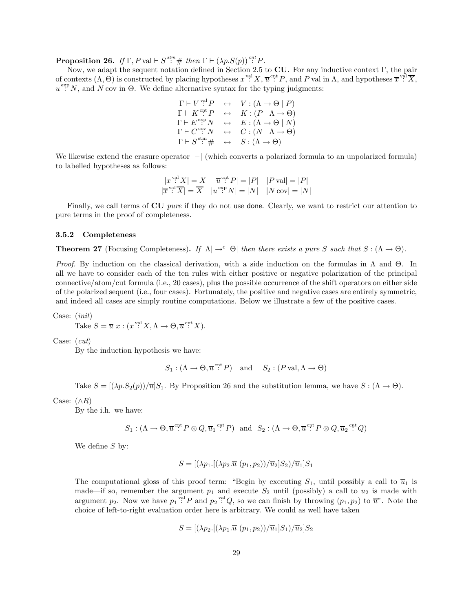**Proposition 26.** If  $\Gamma$ , P val  $\vdash S$ <sup>stm</sup>  $\#$  then  $\Gamma \vdash (\lambda p.S(p))^{cnt}P$ .

Now, we adapt the sequent notation defined in Section 2.5 to CU. For any inductive context Γ, the pair of contexts  $(\Lambda, \Theta)$  is constructed by placing hypotheses  $x^{\text{val}} X, \overline{u}^{\text{cnt}} P$ , and P val in  $\Lambda$ , and hypotheses  $\overline{x}^{\text{val}} \overline{X}$ ,  $u^{\text{exp}} N$ , and N cov in  $\Theta$ . We define alternative syntax for the typing judgments:

$$
\begin{array}{ccc}\n\Gamma \vdash V^{\text{val}}P & \leftrightarrow & V : (\Lambda \to \Theta \mid P) \\
\Gamma \vdash K^{\text{cnt}}P & \leftrightarrow & K : (P \mid \Lambda \to \Theta) \\
\Gamma \vdash E^{\text{exp}}N & \leftrightarrow & E : (\Lambda \to \Theta \mid N) \\
\Gamma \vdash C^{\text{cv}}N & \leftrightarrow & C : (N \mid \Lambda \to \Theta) \\
\Gamma \vdash S^{\text{stm}} \neq & \leftrightarrow & S : (\Lambda \to \Theta)\n\end{array}
$$

We likewise extend the erasure operator  $|−|$  (which converts a polarized formula to an unpolarized formula) to labelled hypotheses as follows:

$$
|x^{\text{val}}X| = X \quad |\overline{u}^{\text{c},t}P| = |P| \quad |P\,\text{val}| = |P|
$$
  

$$
|\overline{x}^{\text{val}}\overline{X}| = \overline{X} \quad |u^{\text{e},t}P| = |N| \quad |N\,\text{cov}| = |N|
$$

Finally, we call terms of **CU** pure if they do not use **done**. Clearly, we want to restrict our attention to pure terms in the proof of completeness.

#### 3.5.2 Completeness

**Theorem 27** (Focusing Completeness). If  $|\Lambda| \to^c |\Theta|$  then there exists a pure S such that  $S : (\Lambda \to \Theta)$ .

*Proof.* By induction on the classical derivation, with a side induction on the formulas in  $\Lambda$  and  $\Theta$ . In all we have to consider each of the ten rules with either positive or negative polarization of the principal connective/atom/cut formula (i.e., 20 cases), plus the possible occurrence of the shift operators on either side of the polarized sequent (i.e., four cases). Fortunately, the positive and negative cases are entirely symmetric, and indeed all cases are simply routine computations. Below we illustrate a few of the positive cases.

Case: (init)

Take  $S = \overline{u} x : (x^{\text{val}} X, \Lambda \to \Theta, \overline{u}^{\text{cnt}} X).$ 

Case: (cut)

By the induction hypothesis we have:

 $S_1: (\Lambda \to \Theta, \overline{u}^{\text{cnt}} P)$  and  $S_2: (P \text{ val}, \Lambda \to \Theta)$ 

Take  $S = [(\lambda p.S_2(p))/\overline{u}S_1$ . By Proposition 26 and the substitution lemma, we have  $S : (\Lambda \to \Theta)$ .

Case:  $(\land R)$ 

By the i.h. we have:

 $S_1: (\Lambda \to \Theta, \overline{u}^{\text{ ent}} P \otimes Q, \overline{u}_1^{\text{ ent}} P)$  and  $S_2: (\Lambda \to \Theta, \overline{u}^{\text{ ent}} P \otimes Q, \overline{u}_2^{\text{ ent}} Q)$ 

We define  $S$  by:

$$
S = [(\lambda p_1.[(\lambda p_2.\overline{u} (p_1, p_2))/\overline{u}_2]S_2)/\overline{u}_1]S_1
$$

The computational gloss of this proof term: "Begin by executing  $S_1$ , until possibly a call to  $\overline{u}_1$  is made—if so, remember the argument  $p_1$  and execute  $S_2$  until (possibly) a call to  $\overline{u}_2$  is made with argument  $p_2$ . Now we have  $p_1$ <sup>val</sup>  $P$  and  $p_2$ <sup>val</sup>  $Q$ , so we can finish by throwing  $(p_1, p_2)$  to  $\overline{u}$ <sup>n</sup>. Note the choice of left-to-right evaluation order here is arbitrary. We could as well have taken

$$
S = [(\lambda p_2.[(\lambda p_1 \cdot \overline{u} (p_1, p_2))/\overline{u}_1]S_1)/\overline{u}_2]S_2
$$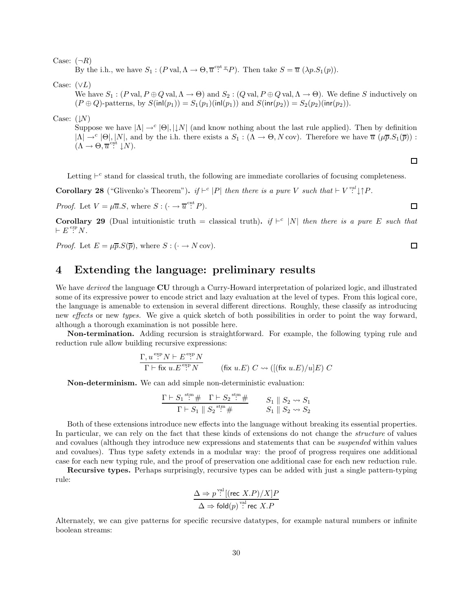Case:  $(\neg R)$ 

By the i.h., we have  $S_1 : (P \text{ val}, \Lambda \to \Theta, \overline{u}^{\text{ ent}} \overset{v}{\to} P)$ . Then take  $S = \overline{u} (\lambda p S_1(p))$ .

Case:  $(\vee L)$ 

We have  $S_1$ :  $(P \text{ val}, P \oplus Q \text{ val}, \Lambda \to \Theta)$  and  $S_2$ :  $(Q \text{ val}, P \oplus Q \text{ val}, \Lambda \to \Theta)$ . We define S inductively on  $(P \oplus Q)$ -patterns, by  $S(\text{inl}(p_1)) = S_1(p_1)(\text{inl}(p_1))$  and  $S(\text{inr}(p_2)) = S_2(p_2)(\text{inr}(p_2)).$ 

Case:  $($   $\downarrow$ N $)$ 

Suppose we have  $|\Lambda| \to^c |\Theta|, |\downarrow N|$  (and know nothing about the last rule applied). Then by definition  $|\Lambda| \to^c |\Theta|, |N|$ , and by the i.h. there exists a  $S_1 : (\Lambda \to \Theta, N \text{ cov})$ . Therefore we have  $\overline{u}(\mu \overline{p}.S_1(\overline{p}))$ :  $(\Lambda \to \Theta, \overline{u}^{\text{cnt}} \downarrow N).$ 

Letting  $\vdash^c$  stand for classical truth, the following are immediate corollaries of focusing completeness.

**Corollary 28** ("Glivenko's Theorem"). if  $\vdash^c |P|$  then there is a pure V such that  $\vdash V \overset{val}{:}\downarrow \uparrow P$ .

*Proof.* Let  $V = \mu \overline{u}.S$ , where  $S : (\cdot \rightarrow \overline{u}^{\text{cnt}} P)$ .

Corollary 29 (Dual intuitionistic truth = classical truth). if  $\vdash^c |N|$  then there is a pure E such that  $\vdash E \overset{exp}{:} N.$ 

*Proof.* Let 
$$
E = \mu \overline{p}. S(\overline{p})
$$
, where  $S : (\cdot \rightarrow N \text{ cov})$ .

# 4 Extending the language: preliminary results

We have *derived* the language CU through a Curry-Howard interpretation of polarized logic, and illustrated some of its expressive power to encode strict and lazy evaluation at the level of types. From this logical core, the language is amenable to extension in several different directions. Roughly, these classify as introducing new *effects* or new *types*. We give a quick sketch of both possibilities in order to point the way forward, although a thorough examination is not possible here.

Non-termination. Adding recursion is straightforward. For example, the following typing rule and reduction rule allow building recursive expressions:

$$
\frac{\Gamma, u^{\exp} N \vdash E^{\exp} N}{\Gamma \vdash \text{fix } u.E^{\exp} N} \qquad (\text{fix } u.E) C \leadsto ([(\text{fix } u.E)/u]E) C
$$

Non-determinism. We can add simple non-deterministic evaluation:

$$
\frac{\Gamma \vdash S_1 \stackrel{\text{stm}}{\vdots} \# \Gamma \vdash S_2 \stackrel{\text{stm}}{\vdots} \#}{\Gamma \vdash S_1 \parallel S_2 \stackrel{\text{stm}}{\vdots} \#} \qquad S_1 \parallel S_2 \leadsto S_1
$$
  

$$
S_1 \parallel S_2 \leadsto S_2
$$

Both of these extensions introduce new effects into the language without breaking its essential properties. In particular, we can rely on the fact that these kinds of extensions do not change the *structure* of values and covalues (although they introduce new expressions and statements that can be suspended within values and covalues). Thus type safety extends in a modular way: the proof of progress requires one additional case for each new typing rule, and the proof of preservation one additional case for each new reduction rule.

Recursive types. Perhaps surprisingly, recursive types can be added with just a single pattern-typing rule:

$$
\frac{\Delta \Rightarrow p^{\text{val}}[(\text{rec } X.P)/X]P}{\Delta \Rightarrow \text{fold}(p)^{\text{val}} \text{rec } X.P}
$$

Alternately, we can give patterns for specific recursive datatypes, for example natural numbers or infinite boolean streams:

 $\Box$ 

□

 $\Box$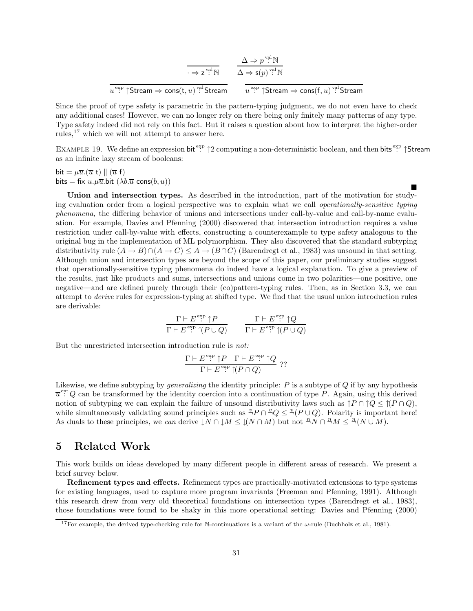$$
\overline{\frac{\Delta \Rightarrow p^{\text{vel}} \mathbb{N}}{\Delta \Rightarrow \mathsf{s}(p)^{\text{vel}} \mathbb{N}}}
$$
\n
$$
\frac{\Delta \Rightarrow p^{\text{vel}} \mathbb{N}}{u^{\text{exp}}} \xrightarrow{\text{Strean}} \frac{\Delta \Rightarrow \mathsf{s}(p)^{\text{vel}} \mathbb{N}}{u^{\text{exp}} \upharpoonright \text{Stream} \Rightarrow \text{cons}(\mathsf{f}, u)^{\text{vel}} \text{Stream}}
$$

Since the proof of type safety is parametric in the pattern-typing judgment, we do not even have to check any additional cases! However, we can no longer rely on there being only finitely many patterns of any type. Type safety indeed did not rely on this fact. But it raises a question about how to interpret the higher-order rules,  $17$  which we will not attempt to answer here.

EXAMPLE 19. We define an expression bit  $\mathbb{S}^n$   $\uparrow$  2 computing a non-deterministic boolean, and then bits  $\mathbb{S}^n$   $\uparrow$  Stream as an infinite lazy stream of booleans:

П

bit =  $\mu \overline{u} \cdot (\overline{u} \ t) \parallel (\overline{u} \ f)$ bits = fix  $u.\mu\overline{u}$ .bit  $(\lambda b.\overline{u} \text{ cons}(b, u))$ 

Union and intersection types. As described in the introduction, part of the motivation for studying evaluation order from a logical perspective was to explain what we call operationally-sensitive typing phenomena, the differing behavior of unions and intersections under call-by-value and call-by-name evaluation. For example, Davies and Pfenning (2000) discovered that intersection introduction requires a value restriction under call-by-value with effects, constructing a counterexample to type safety analogous to the original bug in the implementation of ML polymorphism. They also discovered that the standard subtyping distributivity rule  $(A \to B) \cap (A \to C) \leq A \to (B \cap C)$  (Barendregt et al., 1983) was unsound in that setting. Although union and intersection types are beyond the scope of this paper, our preliminary studies suggest that operationally-sensitive typing phenomena do indeed have a logical explanation. To give a preview of the results, just like products and sums, intersections and unions come in two polarities—one positive, one negative—and are defined purely through their (co)pattern-typing rules. Then, as in Section 3.3, we can attempt to derive rules for expression-typing at shifted type. We find that the usual union introduction rules are derivable:

$$
\frac{\Gamma \vdash E^{\text{exp}} \upharpoonright P}{\Gamma \vdash E^{\text{exp}} \upharpoonright (P \cup Q)} \qquad \frac{\Gamma \vdash E^{\text{exp}} \upharpoonright Q}{\Gamma \vdash E^{\text{exp}} \upharpoonright (P \cup Q)}
$$

But the unrestricted intersection introduction rule is not:

$$
\frac{\Gamma \vdash E^{\exp} \uparrow P \quad \Gamma \vdash E^{\exp} \uparrow Q}{\Gamma \vdash E^{\exp} \uparrow (P \cap Q)} \quad ??
$$

Likewise, we define subtyping by generalizing the identity principle: P is a subtype of Q if by any hypothesis  $\overline{u}^{\text{ent}}Q$  can be transformed by the identity coercion into a continuation of type P. Again, using this derived notion of subtyping we can explain the failure of unsound distributivity laws such as  $\uparrow P \cap \uparrow Q \leq \uparrow (P \cap Q)$ , while simultaneously validating sound principles such as  $^{\omega}P \cap {^{\omega}Q} \leq {^{\omega}(P \cup Q)}$ . Polarity is important here! As duals to these principles, we can derive  $\downarrow N \cap \downarrow M \leq \downarrow (N \cap M)$  but not  ${}^nN \cap {}^nM \leq {}^n(N \cup M)$ .

# 5 Related Work

This work builds on ideas developed by many different people in different areas of research. We present a brief survey below.

Refinement types and effects. Refinement types are practically-motivated extensions to type systems for existing languages, used to capture more program invariants (Freeman and Pfenning, 1991). Although this research drew from very old theoretical foundations on intersection types (Barendregt et al., 1983), those foundations were found to be shaky in this more operational setting: Davies and Pfenning (2000)

<sup>&</sup>lt;sup>17</sup>For example, the derived type-checking rule for N-continuations is a variant of the  $\omega$ -rule (Buchholz et al., 1981).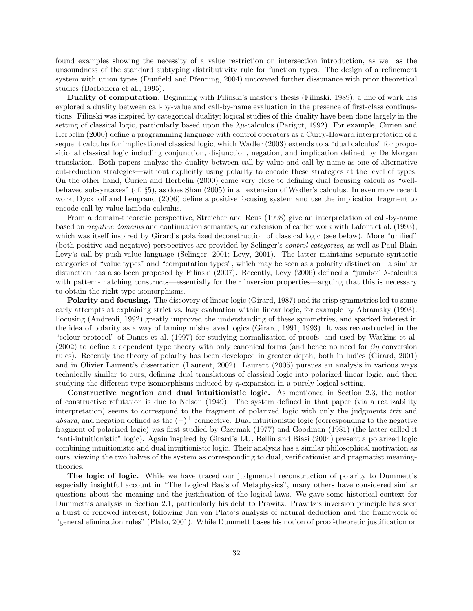found examples showing the necessity of a value restriction on intersection introduction, as well as the unsoundness of the standard subtyping distributivity rule for function types. The design of a refinement system with union types (Dunfield and Pfenning, 2004) uncovered further dissonance with prior theoretical studies (Barbanera et al., 1995).

Duality of computation. Beginning with Filinski's master's thesis (Filinski, 1989), a line of work has explored a duality between call-by-value and call-by-name evaluation in the presence of first-class continuations. Filinski was inspired by categorical duality; logical studies of this duality have been done largely in the setting of classical logic, particularly based upon the  $\lambda\mu$ -calculus (Parigot, 1992). For example, Curien and Herbelin (2000) define a programming language with control operators as a Curry-Howard interpretation of a sequent calculus for implicational classical logic, which Wadler (2003) extends to a "dual calculus" for propositional classical logic including conjunction, disjunction, negation, and implication defined by De Morgan translation. Both papers analyze the duality between call-by-value and call-by-name as one of alternative cut-reduction strategies—without explicitly using polarity to encode these strategies at the level of types. On the other hand, Curien and Herbelin (2000) come very close to defining dual focusing calculi as "wellbehaved subsyntaxes" (cf. §5), as does Shan (2005) in an extension of Wadler's calculus. In even more recent work, Dyckhoff and Lengrand (2006) define a positive focusing system and use the implication fragment to encode call-by-value lambda calculus.

From a domain-theoretic perspective, Streicher and Reus (1998) give an interpretation of call-by-name based on negative domains and continuation semantics, an extension of earlier work with Lafont et al. (1993), which was itself inspired by Girard's polarized deconstruction of classical logic (see below). More "unified" (both positive and negative) perspectives are provided by Selinger's control categories, as well as Paul-Blain Levy's call-by-push-value language (Selinger, 2001; Levy, 2001). The latter maintains separate syntactic categories of "value types" and "computation types", which may be seen as a polarity distinction—a similar distinction has also been proposed by Filinski (2007). Recently, Levy (2006) defined a "jumbo" λ-calculus with pattern-matching constructs—essentially for their inversion properties—arguing that this is necessary to obtain the right type isomorphisms.

Polarity and focusing. The discovery of linear logic (Girard, 1987) and its crisp symmetries led to some early attempts at explaining strict vs. lazy evaluation within linear logic, for example by Abramsky (1993). Focusing (Andreoli, 1992) greatly improved the understanding of these symmetries, and sparked interest in the idea of polarity as a way of taming misbehaved logics (Girard, 1991, 1993). It was reconstructed in the "colour protocol" of Danos et al. (1997) for studying normalization of proofs, and used by Watkins et al. (2002) to define a dependent type theory with only canonical forms (and hence no need for  $\beta\eta$  conversion rules). Recently the theory of polarity has been developed in greater depth, both in ludics (Girard, 2001) and in Olivier Laurent's dissertation (Laurent, 2002). Laurent (2005) pursues an analysis in various ways technically similar to ours, defining dual translations of classical logic into polarized linear logic, and then studying the different type isomorphisms induced by η-expansion in a purely logical setting.

Constructive negation and dual intuitionistic logic. As mentioned in Section 2.3, the notion of constructive refutation is due to Nelson (1949). The system defined in that paper (via a realizability interpretation) seems to correspond to the fragment of polarized logic with only the judgments triv and absurd, and negation defined as the  $(-)^{\perp}$  connective. Dual intuitionistic logic (corresponding to the negative fragment of polarized logic) was first studied by Czermak (1977) and Goodman (1981) (the latter called it "anti-intuitionistic" logic). Again inspired by Girard's LU, Bellin and Biasi (2004) present a polarized logic combining intuitionistic and dual intuitionistic logic. Their analysis has a similar philosophical motivation as ours, viewing the two halves of the system as corresponding to dual, verificationist and pragmatist meaningtheories.

The logic of logic. While we have traced our judgmental reconstruction of polarity to Dummett's especially insightful account in "The Logical Basis of Metaphysics", many others have considered similar questions about the meaning and the justification of the logical laws. We gave some historical context for Dummett's analysis in Section 2.1, particularly his debt to Prawitz. Prawitz's inversion principle has seen a burst of renewed interest, following Jan von Plato's analysis of natural deduction and the framework of "general elimination rules" (Plato, 2001). While Dummett bases his notion of proof-theoretic justification on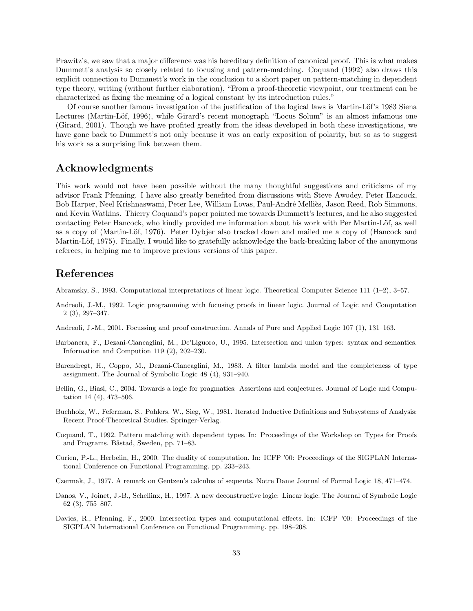Prawitz's, we saw that a major difference was his hereditary definition of canonical proof. This is what makes Dummett's analysis so closely related to focusing and pattern-matching. Coquand (1992) also draws this explicit connection to Dummett's work in the conclusion to a short paper on pattern-matching in dependent type theory, writing (without further elaboration), "From a proof-theoretic viewpoint, our treatment can be characterized as fixing the meaning of a logical constant by its introduction rules."

Of course another famous investigation of the justification of the logical laws is Martin-Löf's 1983 Siena Lectures (Martin-Löf, 1996), while Girard's recent monograph "Locus Solum" is an almost infamous one (Girard, 2001). Though we have profited greatly from the ideas developed in both these investigations, we have gone back to Dummett's not only because it was an early exposition of polarity, but so as to suggest his work as a surprising link between them.

# Acknowledgments

This work would not have been possible without the many thoughtful suggestions and criticisms of my advisor Frank Pfenning. I have also greatly benefited from discussions with Steve Awodey, Peter Hancock, Bob Harper, Neel Krishnaswami, Peter Lee, William Lovas, Paul-André Melliès, Jason Reed, Rob Simmons, and Kevin Watkins. Thierry Coquand's paper pointed me towards Dummett's lectures, and he also suggested contacting Peter Hancock, who kindly provided me information about his work with Per Martin-Löf, as well as a copy of (Martin-Löf, 1976). Peter Dybjer also tracked down and mailed me a copy of (Hancock and Martin-Löf, 1975). Finally, I would like to gratefully acknowledge the back-breaking labor of the anonymous referees, in helping me to improve previous versions of this paper.

# References

Abramsky, S., 1993. Computational interpretations of linear logic. Theoretical Computer Science 111 (1–2), 3–57.

- Andreoli, J.-M., 1992. Logic programming with focusing proofs in linear logic. Journal of Logic and Computation 2 (3), 297–347.
- Andreoli, J.-M., 2001. Focussing and proof construction. Annals of Pure and Applied Logic 107 (1), 131–163.
- Barbanera, F., Dezani-Ciancaglini, M., De'Liguoro, U., 1995. Intersection and union types: syntax and semantics. Information and Compution 119 (2), 202–230.
- Barendregt, H., Coppo, M., Dezani-Ciancaglini, M., 1983. A filter lambda model and the completeness of type assignment. The Journal of Symbolic Logic 48 (4), 931–940.
- Bellin, G., Biasi, C., 2004. Towards a logic for pragmatics: Assertions and conjectures. Journal of Logic and Computation 14 (4), 473–506.
- Buchholz, W., Feferman, S., Pohlers, W., Sieg, W., 1981. Iterated Inductive Definitions and Subsystems of Analysis: Recent Proof-Theoretical Studies. Springer-Verlag.
- Coquand, T., 1992. Pattern matching with dependent types. In: Proceedings of the Workshop on Types for Proofs and Programs. Båstad, Sweden, pp. 71–83.
- Curien, P.-L., Herbelin, H., 2000. The duality of computation. In: ICFP '00: Proceedings of the SIGPLAN International Conference on Functional Programming. pp. 233–243.
- Czermak, J., 1977. A remark on Gentzen's calculus of sequents. Notre Dame Journal of Formal Logic 18, 471–474.
- Danos, V., Joinet, J.-B., Schellinx, H., 1997. A new deconstructive logic: Linear logic. The Journal of Symbolic Logic 62 (3), 755–807.
- Davies, R., Pfenning, F., 2000. Intersection types and computational effects. In: ICFP '00: Proceedings of the SIGPLAN International Conference on Functional Programming. pp. 198–208.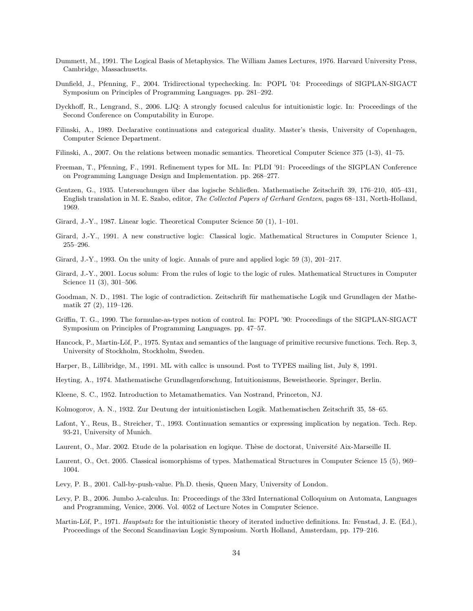- Dummett, M., 1991. The Logical Basis of Metaphysics. The William James Lectures, 1976. Harvard University Press, Cambridge, Massachusetts.
- Dunfield, J., Pfenning, F., 2004. Tridirectional typechecking. In: POPL '04: Proceedings of SIGPLAN-SIGACT Symposium on Principles of Programming Languages. pp. 281–292.
- Dyckhoff, R., Lengrand, S., 2006. LJQ: A strongly focused calculus for intuitionistic logic. In: Proceedings of the Second Conference on Computability in Europe.
- Filinski, A., 1989. Declarative continuations and categorical duality. Master's thesis, University of Copenhagen, Computer Science Department.
- Filinski, A., 2007. On the relations between monadic semantics. Theoretical Computer Science 375 (1-3), 41–75.
- Freeman, T., Pfenning, F., 1991. Refinement types for ML. In: PLDI '91: Proceedings of the SIGPLAN Conference on Programming Language Design and Implementation. pp. 268–277.
- Gentzen, G., 1935. Untersuchungen über das logische Schließen. Mathematische Zeitschrift 39, 176–210, 405–431, English translation in M. E. Szabo, editor, The Collected Papers of Gerhard Gentzen, pages 68–131, North-Holland, 1969.
- Girard, J.-Y., 1987. Linear logic. Theoretical Computer Science 50 (1), 1–101.
- Girard, J.-Y., 1991. A new constructive logic: Classical logic. Mathematical Structures in Computer Science 1, 255–296.
- Girard, J.-Y., 1993. On the unity of logic. Annals of pure and applied logic 59 (3), 201–217.
- Girard, J.-Y., 2001. Locus solum: From the rules of logic to the logic of rules. Mathematical Structures in Computer Science 11 (3), 301–506.
- Goodman, N. D., 1981. The logic of contradiction. Zeitschrift für mathematische Logik und Grundlagen der Mathematik 27 (2), 119–126.
- Griffin, T. G., 1990. The formulae-as-types notion of control. In: POPL '90: Proceedings of the SIGPLAN-SIGACT Symposium on Principles of Programming Languages. pp. 47–57.
- Hancock, P., Martin-Löf, P., 1975. Syntax and semantics of the language of primitive recursive functions. Tech. Rep. 3, University of Stockholm, Stockholm, Sweden.
- Harper, B., Lillibridge, M., 1991. ML with callcc is unsound. Post to TYPES mailing list, July 8, 1991.
- Heyting, A., 1974. Mathematische Grundlagenforschung, Intuitionismus, Beweistheorie. Springer, Berlin.
- Kleene, S. C., 1952. Introduction to Metamathematics. Van Nostrand, Princeton, NJ.
- Kolmogorov, A. N., 1932. Zur Deutung der intuitionistischen Logik. Mathematischen Zeitschrift 35, 58–65.
- Lafont, Y., Reus, B., Streicher, T., 1993. Continuation semantics or expressing implication by negation. Tech. Rep. 93-21, University of Munich.
- Laurent, O., Mar. 2002. Etude de la polarisation en logique. Thèse de doctorat, Université Aix-Marseille II.
- Laurent, O., Oct. 2005. Classical isomorphisms of types. Mathematical Structures in Computer Science 15 (5), 969– 1004.
- Levy, P. B., 2001. Call-by-push-value. Ph.D. thesis, Queen Mary, University of London.
- Levy, P. B., 2006. Jumbo λ-calculus. In: Proceedings of the 33rd International Colloquium on Automata, Languages and Programming, Venice, 2006. Vol. 4052 of Lecture Notes in Computer Science.
- Martin-Löf, P., 1971. Hauptsatz for the intuitionistic theory of iterated inductive definitions. In: Fenstad, J. E. (Ed.), Proceedings of the Second Scandinavian Logic Symposium. North Holland, Amsterdam, pp. 179–216.